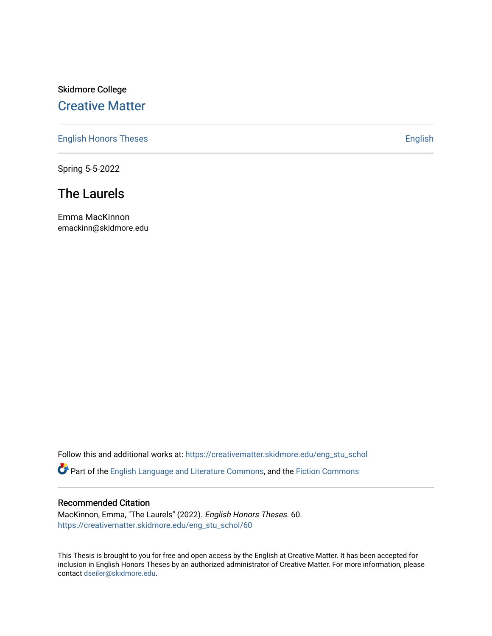## Skidmore College [Creative Matter](https://creativematter.skidmore.edu/)

[English Honors Theses](https://creativematter.skidmore.edu/eng_stu_schol) **English** English

Spring 5-5-2022

# The Laurels

Emma MacKinnon emackinn@skidmore.edu

Follow this and additional works at: [https://creativematter.skidmore.edu/eng\\_stu\\_schol](https://creativematter.skidmore.edu/eng_stu_schol?utm_source=creativematter.skidmore.edu%2Feng_stu_schol%2F60&utm_medium=PDF&utm_campaign=PDFCoverPages) 

Part of the [English Language and Literature Commons](http://network.bepress.com/hgg/discipline/455?utm_source=creativematter.skidmore.edu%2Feng_stu_schol%2F60&utm_medium=PDF&utm_campaign=PDFCoverPages), and the [Fiction Commons](http://network.bepress.com/hgg/discipline/1151?utm_source=creativematter.skidmore.edu%2Feng_stu_schol%2F60&utm_medium=PDF&utm_campaign=PDFCoverPages)

#### Recommended Citation

MacKinnon, Emma, "The Laurels" (2022). English Honors Theses. 60. [https://creativematter.skidmore.edu/eng\\_stu\\_schol/60](https://creativematter.skidmore.edu/eng_stu_schol/60?utm_source=creativematter.skidmore.edu%2Feng_stu_schol%2F60&utm_medium=PDF&utm_campaign=PDFCoverPages)

This Thesis is brought to you for free and open access by the English at Creative Matter. It has been accepted for inclusion in English Honors Theses by an authorized administrator of Creative Matter. For more information, please contact [dseiler@skidmore.edu.](mailto:dseiler@skidmore.edu)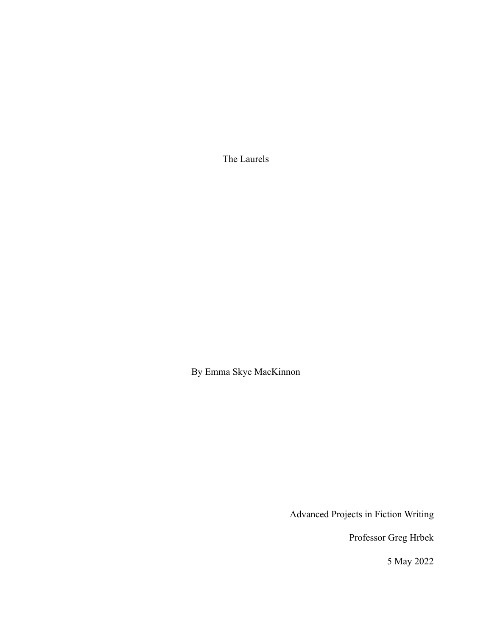The Laurels

By Emma Skye MacKinnon

Advanced Projects in Fiction Writing

Professor Greg Hrbek

5 May 2022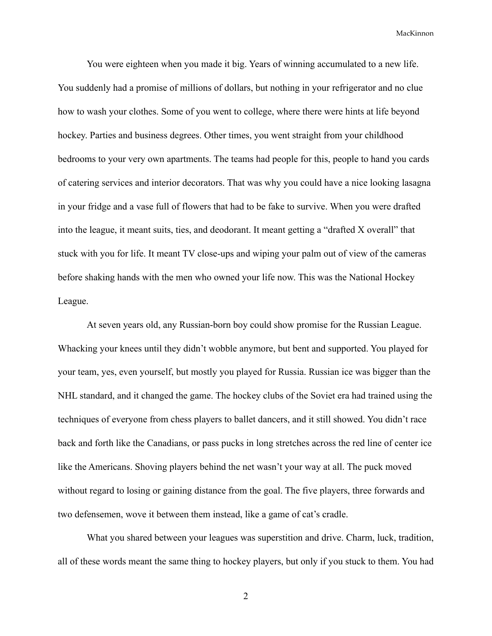You were eighteen when you made it big. Years of winning accumulated to a new life. You suddenly had a promise of millions of dollars, but nothing in your refrigerator and no clue how to wash your clothes. Some of you went to college, where there were hints at life beyond hockey. Parties and business degrees. Other times, you went straight from your childhood bedrooms to your very own apartments. The teams had people for this, people to hand you cards of catering services and interior decorators. That was why you could have a nice looking lasagna in your fridge and a vase full of flowers that had to be fake to survive. When you were drafted into the league, it meant suits, ties, and deodorant. It meant getting a "drafted X overall" that stuck with you for life. It meant TV close-ups and wiping your palm out of view of the cameras before shaking hands with the men who owned your life now. This was the National Hockey League.

At seven years old, any Russian-born boy could show promise for the Russian League. Whacking your knees until they didn't wobble anymore, but bent and supported. You played for your team, yes, even yourself, but mostly you played for Russia. Russian ice was bigger than the NHL standard, and it changed the game. The hockey clubs of the Soviet era had trained using the techniques of everyone from chess players to ballet dancers, and it still showed. You didn't race back and forth like the Canadians, or pass pucks in long stretches across the red line of center ice like the Americans. Shoving players behind the net wasn't your way at all. The puck moved without regard to losing or gaining distance from the goal. The five players, three forwards and two defensemen, wove it between them instead, like a game of cat's cradle.

What you shared between your leagues was superstition and drive. Charm, luck, tradition, all of these words meant the same thing to hockey players, but only if you stuck to them. You had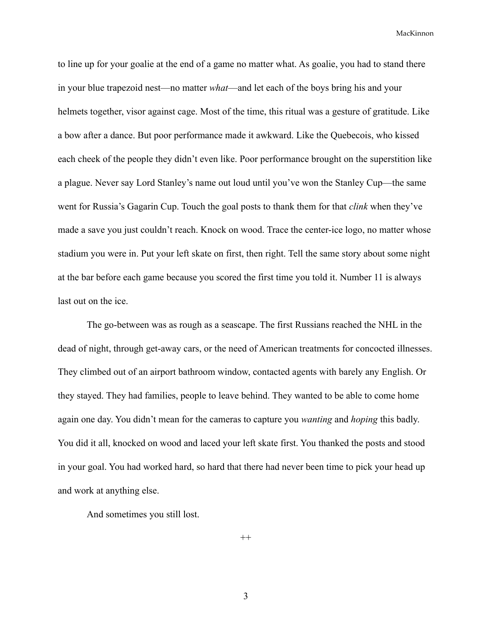to line up for your goalie at the end of a game no matter what. As goalie, you had to stand there in your blue trapezoid nest—no matter *what*—and let each of the boys bring his and your helmets together, visor against cage. Most of the time, this ritual was a gesture of gratitude. Like a bow after a dance. But poor performance made it awkward. Like the Quebecois, who kissed each cheek of the people they didn't even like. Poor performance brought on the superstition like a plague. Never say Lord Stanley's name out loud until you've won the Stanley Cup—the same went for Russia's Gagarin Cup. Touch the goal posts to thank them for that *clink* when they've made a save you just couldn't reach. Knock on wood. Trace the center-ice logo, no matter whose stadium you were in. Put your left skate on first, then right. Tell the same story about some night at the bar before each game because you scored the first time you told it. Number 11 is always last out on the ice.

The go-between was as rough as a seascape. The first Russians reached the NHL in the dead of night, through get-away cars, or the need of American treatments for concocted illnesses. They climbed out of an airport bathroom window, contacted agents with barely any English. Or they stayed. They had families, people to leave behind. They wanted to be able to come home again one day. You didn't mean for the cameras to capture you *wanting* and *hoping* this badly. You did it all, knocked on wood and laced your left skate first. You thanked the posts and stood in your goal. You had worked hard, so hard that there had never been time to pick your head up and work at anything else.

And sometimes you still lost.

 $^{++}$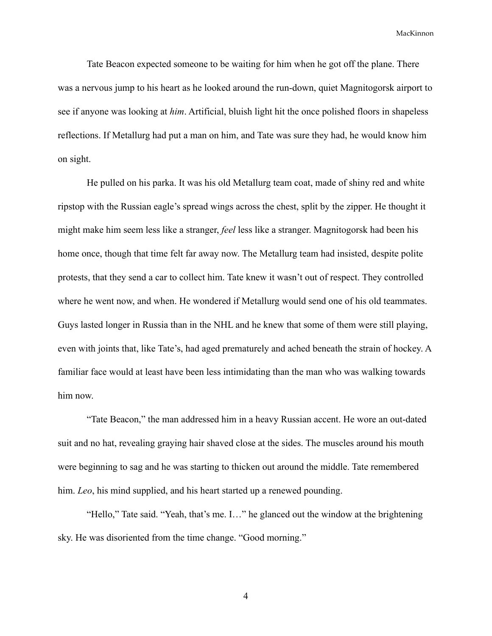Tate Beacon expected someone to be waiting for him when he got off the plane. There was a nervous jump to his heart as he looked around the run-down, quiet Magnitogorsk airport to see if anyone was looking at *him*. Artificial, bluish light hit the once polished floors in shapeless reflections. If Metallurg had put a man on him, and Tate was sure they had, he would know him on sight.

He pulled on his parka. It was his old Metallurg team coat, made of shiny red and white ripstop with the Russian eagle's spread wings across the chest, split by the zipper. He thought it might make him seem less like a stranger, *feel* less like a stranger. Magnitogorsk had been his home once, though that time felt far away now. The Metallurg team had insisted, despite polite protests, that they send a car to collect him. Tate knew it wasn't out of respect. They controlled where he went now, and when. He wondered if Metallurg would send one of his old teammates. Guys lasted longer in Russia than in the NHL and he knew that some of them were still playing, even with joints that, like Tate's, had aged prematurely and ached beneath the strain of hockey. A familiar face would at least have been less intimidating than the man who was walking towards him now.

"Tate Beacon," the man addressed him in a heavy Russian accent. He wore an out-dated suit and no hat, revealing graying hair shaved close at the sides. The muscles around his mouth were beginning to sag and he was starting to thicken out around the middle. Tate remembered him. *Leo*, his mind supplied, and his heart started up a renewed pounding.

"Hello," Tate said. "Yeah, that's me. I…" he glanced out the window at the brightening sky. He was disoriented from the time change. "Good morning."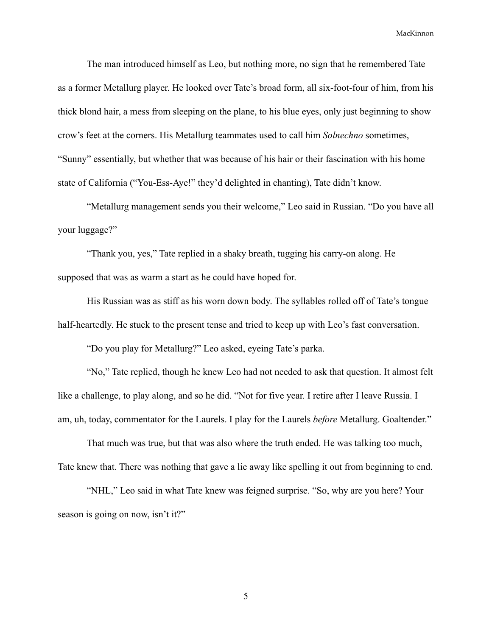The man introduced himself as Leo, but nothing more, no sign that he remembered Tate as a former Metallurg player. He looked over Tate's broad form, all six-foot-four of him, from his thick blond hair, a mess from sleeping on the plane, to his blue eyes, only just beginning to show crow's feet at the corners. His Metallurg teammates used to call him *Solnechno* sometimes, "Sunny" essentially, but whether that was because of his hair or their fascination with his home state of California ("You-Ess-Aye!" they'd delighted in chanting), Tate didn't know.

"Metallurg management sends you their welcome," Leo said in Russian. "Do you have all your luggage?"

"Thank you, yes," Tate replied in a shaky breath, tugging his carry-on along. He supposed that was as warm a start as he could have hoped for.

His Russian was as stiff as his worn down body. The syllables rolled off of Tate's tongue half-heartedly. He stuck to the present tense and tried to keep up with Leo's fast conversation.

"Do you play for Metallurg?" Leo asked, eyeing Tate's parka.

"No," Tate replied, though he knew Leo had not needed to ask that question. It almost felt like a challenge, to play along, and so he did. "Not for five year. I retire after I leave Russia. I am, uh, today, commentator for the Laurels. I play for the Laurels *before* Metallurg. Goaltender."

That much was true, but that was also where the truth ended. He was talking too much, Tate knew that. There was nothing that gave a lie away like spelling it out from beginning to end.

"NHL," Leo said in what Tate knew was feigned surprise. "So, why are you here? Your season is going on now, isn't it?"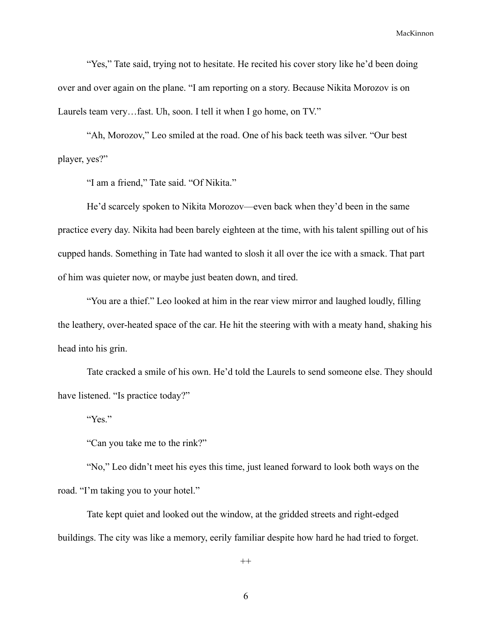"Yes," Tate said, trying not to hesitate. He recited his cover story like he'd been doing over and over again on the plane. "I am reporting on a story. Because Nikita Morozov is on Laurels team very…fast. Uh, soon. I tell it when I go home, on TV."

"Ah, Morozov," Leo smiled at the road. One of his back teeth was silver. "Our best player, yes?"

"I am a friend," Tate said. "Of Nikita."

He'd scarcely spoken to Nikita Morozov—even back when they'd been in the same practice every day. Nikita had been barely eighteen at the time, with his talent spilling out of his cupped hands. Something in Tate had wanted to slosh it all over the ice with a smack. That part of him was quieter now, or maybe just beaten down, and tired.

"You are a thief." Leo looked at him in the rear view mirror and laughed loudly, filling the leathery, over-heated space of the car. He hit the steering with with a meaty hand, shaking his head into his grin.

Tate cracked a smile of his own. He'd told the Laurels to send someone else. They should have listened. "Is practice today?"

"Yes."

"Can you take me to the rink?"

"No," Leo didn't meet his eyes this time, just leaned forward to look both ways on the road. "I'm taking you to your hotel."

Tate kept quiet and looked out the window, at the gridded streets and right-edged buildings. The city was like a memory, eerily familiar despite how hard he had tried to forget.

 $^{++}$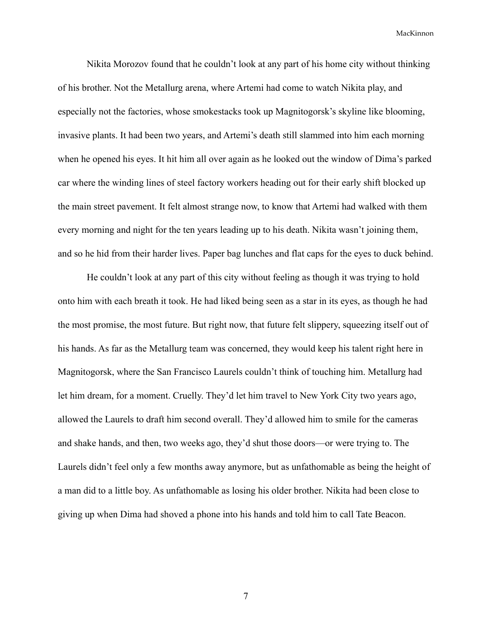Nikita Morozov found that he couldn't look at any part of his home city without thinking of his brother. Not the Metallurg arena, where Artemi had come to watch Nikita play, and especially not the factories, whose smokestacks took up Magnitogorsk's skyline like blooming, invasive plants. It had been two years, and Artemi's death still slammed into him each morning when he opened his eyes. It hit him all over again as he looked out the window of Dima's parked car where the winding lines of steel factory workers heading out for their early shift blocked up the main street pavement. It felt almost strange now, to know that Artemi had walked with them every morning and night for the ten years leading up to his death. Nikita wasn't joining them, and so he hid from their harder lives. Paper bag lunches and flat caps for the eyes to duck behind.

He couldn't look at any part of this city without feeling as though it was trying to hold onto him with each breath it took. He had liked being seen as a star in its eyes, as though he had the most promise, the most future. But right now, that future felt slippery, squeezing itself out of his hands. As far as the Metallurg team was concerned, they would keep his talent right here in Magnitogorsk, where the San Francisco Laurels couldn't think of touching him. Metallurg had let him dream, for a moment. Cruelly. They'd let him travel to New York City two years ago, allowed the Laurels to draft him second overall. They'd allowed him to smile for the cameras and shake hands, and then, two weeks ago, they'd shut those doors—or were trying to. The Laurels didn't feel only a few months away anymore, but as unfathomable as being the height of a man did to a little boy. As unfathomable as losing his older brother. Nikita had been close to giving up when Dima had shoved a phone into his hands and told him to call Tate Beacon.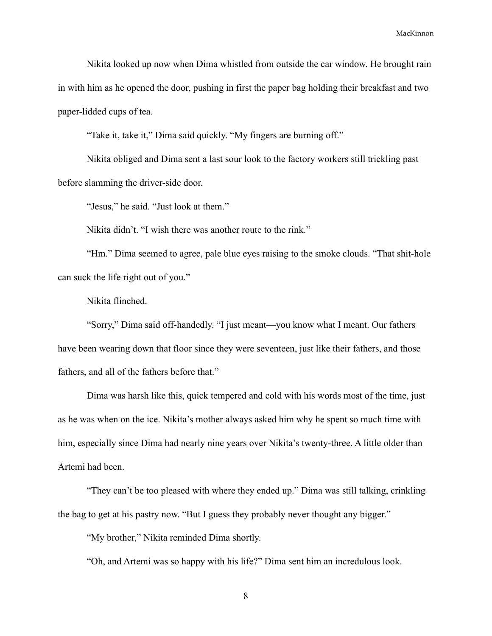Nikita looked up now when Dima whistled from outside the car window. He brought rain in with him as he opened the door, pushing in first the paper bag holding their breakfast and two paper-lidded cups of tea.

"Take it, take it," Dima said quickly. "My fingers are burning off."

Nikita obliged and Dima sent a last sour look to the factory workers still trickling past before slamming the driver-side door.

"Jesus," he said. "Just look at them."

Nikita didn't. "I wish there was another route to the rink."

"Hm." Dima seemed to agree, pale blue eyes raising to the smoke clouds. "That shit-hole can suck the life right out of you."

Nikita flinched.

"Sorry," Dima said off-handedly. "I just meant—you know what I meant. Our fathers have been wearing down that floor since they were seventeen, just like their fathers, and those fathers, and all of the fathers before that."

Dima was harsh like this, quick tempered and cold with his words most of the time, just as he was when on the ice. Nikita's mother always asked him why he spent so much time with him, especially since Dima had nearly nine years over Nikita's twenty-three. A little older than Artemi had been.

"They can't be too pleased with where they ended up." Dima was still talking, crinkling the bag to get at his pastry now. "But I guess they probably never thought any bigger."

"My brother," Nikita reminded Dima shortly.

"Oh, and Artemi was so happy with his life?" Dima sent him an incredulous look.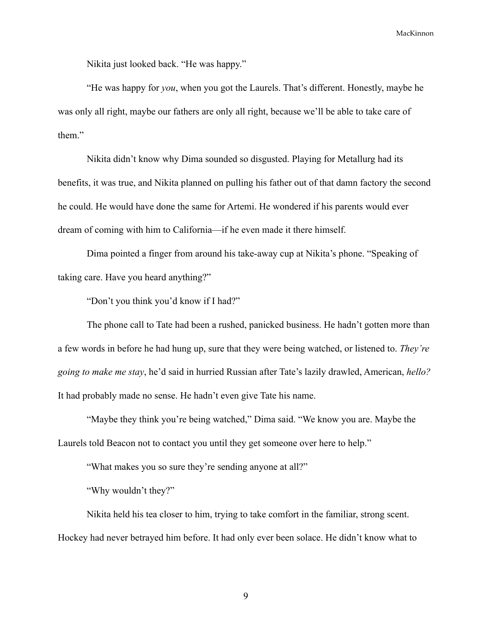Nikita just looked back. "He was happy."

"He was happy for *you*, when you got the Laurels. That's different. Honestly, maybe he was only all right, maybe our fathers are only all right, because we'll be able to take care of them."

Nikita didn't know why Dima sounded so disgusted. Playing for Metallurg had its benefits, it was true, and Nikita planned on pulling his father out of that damn factory the second he could. He would have done the same for Artemi. He wondered if his parents would ever dream of coming with him to California—if he even made it there himself.

Dima pointed a finger from around his take-away cup at Nikita's phone. "Speaking of taking care. Have you heard anything?"

"Don't you think you'd know if I had?"

The phone call to Tate had been a rushed, panicked business. He hadn't gotten more than a few words in before he had hung up, sure that they were being watched, or listened to. *They're going to make me stay*, he'd said in hurried Russian after Tate's lazily drawled, American, *hello?*  It had probably made no sense. He hadn't even give Tate his name.

"Maybe they think you're being watched," Dima said. "We know you are. Maybe the Laurels told Beacon not to contact you until they get someone over here to help."

"What makes you so sure they're sending anyone at all?"

"Why wouldn't they?"

Nikita held his tea closer to him, trying to take comfort in the familiar, strong scent. Hockey had never betrayed him before. It had only ever been solace. He didn't know what to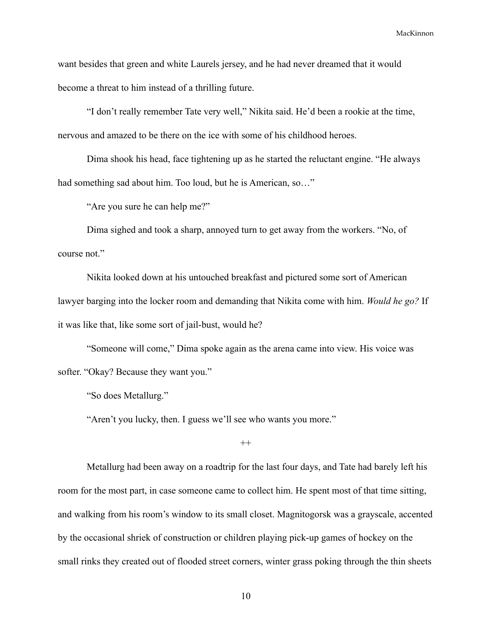want besides that green and white Laurels jersey, and he had never dreamed that it would become a threat to him instead of a thrilling future.

"I don't really remember Tate very well," Nikita said. He'd been a rookie at the time, nervous and amazed to be there on the ice with some of his childhood heroes.

Dima shook his head, face tightening up as he started the reluctant engine. "He always had something sad about him. Too loud, but he is American, so..."

"Are you sure he can help me?"

Dima sighed and took a sharp, annoyed turn to get away from the workers. "No, of course not."

Nikita looked down at his untouched breakfast and pictured some sort of American lawyer barging into the locker room and demanding that Nikita come with him. *Would he go?* If it was like that, like some sort of jail-bust, would he?

"Someone will come," Dima spoke again as the arena came into view. His voice was softer. "Okay? Because they want you."

"So does Metallurg."

"Aren't you lucky, then. I guess we'll see who wants you more."

 $^{++}$ 

Metallurg had been away on a roadtrip for the last four days, and Tate had barely left his room for the most part, in case someone came to collect him. He spent most of that time sitting, and walking from his room's window to its small closet. Magnitogorsk was a grayscale, accented by the occasional shriek of construction or children playing pick-up games of hockey on the small rinks they created out of flooded street corners, winter grass poking through the thin sheets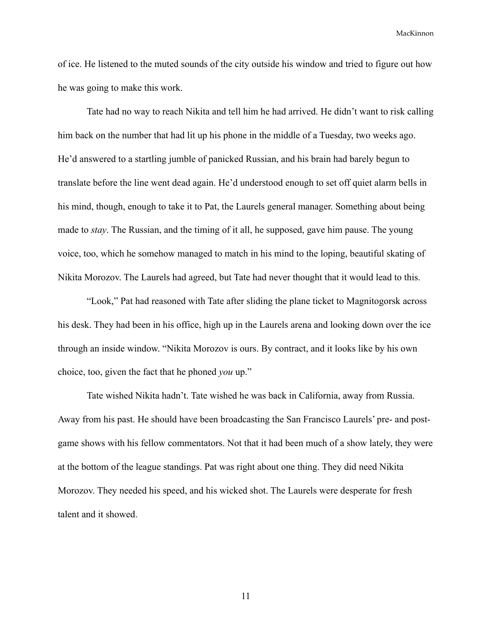of ice. He listened to the muted sounds of the city outside his window and tried to figure out how he was going to make this work.

Tate had no way to reach Nikita and tell him he had arrived. He didn't want to risk calling him back on the number that had lit up his phone in the middle of a Tuesday, two weeks ago. He'd answered to a startling jumble of panicked Russian, and his brain had barely begun to translate before the line went dead again. He'd understood enough to set off quiet alarm bells in his mind, though, enough to take it to Pat, the Laurels general manager. Something about being made to *stay*. The Russian, and the timing of it all, he supposed, gave him pause. The young voice, too, which he somehow managed to match in his mind to the loping, beautiful skating of Nikita Morozov. The Laurels had agreed, but Tate had never thought that it would lead to this.

"Look," Pat had reasoned with Tate after sliding the plane ticket to Magnitogorsk across his desk. They had been in his office, high up in the Laurels arena and looking down over the ice through an inside window. "Nikita Morozov is ours. By contract, and it looks like by his own choice, too, given the fact that he phoned *you* up."

Tate wished Nikita hadn't. Tate wished he was back in California, away from Russia. Away from his past. He should have been broadcasting the San Francisco Laurels' pre- and postgame shows with his fellow commentators. Not that it had been much of a show lately, they were at the bottom of the league standings. Pat was right about one thing. They did need Nikita Morozov. They needed his speed, and his wicked shot. The Laurels were desperate for fresh talent and it showed.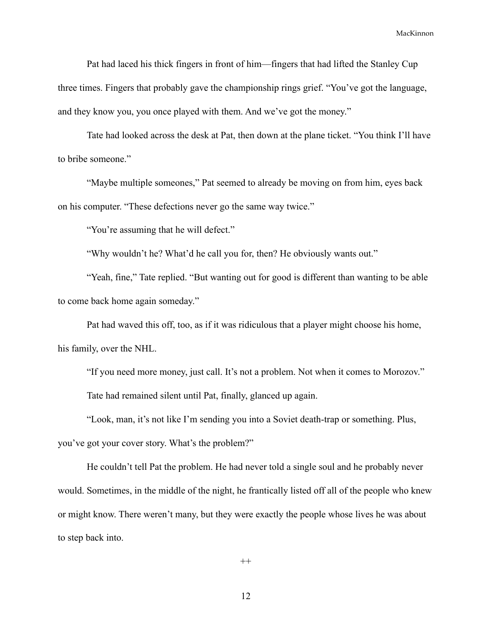Pat had laced his thick fingers in front of him—fingers that had lifted the Stanley Cup three times. Fingers that probably gave the championship rings grief. "You've got the language, and they know you, you once played with them. And we've got the money."

Tate had looked across the desk at Pat, then down at the plane ticket. "You think I'll have to bribe someone."

"Maybe multiple someones," Pat seemed to already be moving on from him, eyes back on his computer. "These defections never go the same way twice."

"You're assuming that he will defect."

"Why wouldn't he? What'd he call you for, then? He obviously wants out."

"Yeah, fine," Tate replied. "But wanting out for good is different than wanting to be able to come back home again someday."

Pat had waved this off, too, as if it was ridiculous that a player might choose his home, his family, over the NHL.

"If you need more money, just call. It's not a problem. Not when it comes to Morozov." Tate had remained silent until Pat, finally, glanced up again.

"Look, man, it's not like I'm sending you into a Soviet death-trap or something. Plus,

you've got your cover story. What's the problem?"

He couldn't tell Pat the problem. He had never told a single soul and he probably never would. Sometimes, in the middle of the night, he frantically listed off all of the people who knew or might know. There weren't many, but they were exactly the people whose lives he was about to step back into.

 $^{++}$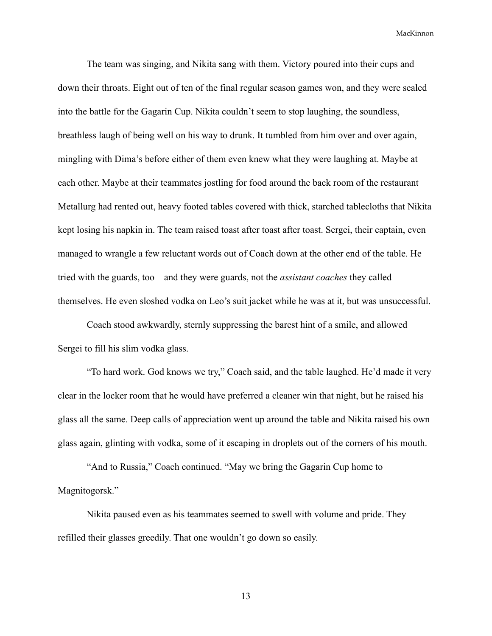The team was singing, and Nikita sang with them. Victory poured into their cups and down their throats. Eight out of ten of the final regular season games won, and they were sealed into the battle for the Gagarin Cup. Nikita couldn't seem to stop laughing, the soundless, breathless laugh of being well on his way to drunk. It tumbled from him over and over again, mingling with Dima's before either of them even knew what they were laughing at. Maybe at each other. Maybe at their teammates jostling for food around the back room of the restaurant Metallurg had rented out, heavy footed tables covered with thick, starched tablecloths that Nikita kept losing his napkin in. The team raised toast after toast after toast. Sergei, their captain, even managed to wrangle a few reluctant words out of Coach down at the other end of the table. He tried with the guards, too—and they were guards, not the *assistant coaches* they called themselves. He even sloshed vodka on Leo's suit jacket while he was at it, but was unsuccessful.

Coach stood awkwardly, sternly suppressing the barest hint of a smile, and allowed Sergei to fill his slim vodka glass.

"To hard work. God knows we try," Coach said, and the table laughed. He'd made it very clear in the locker room that he would have preferred a cleaner win that night, but he raised his glass all the same. Deep calls of appreciation went up around the table and Nikita raised his own glass again, glinting with vodka, some of it escaping in droplets out of the corners of his mouth.

"And to Russia," Coach continued. "May we bring the Gagarin Cup home to Magnitogorsk."

Nikita paused even as his teammates seemed to swell with volume and pride. They refilled their glasses greedily. That one wouldn't go down so easily.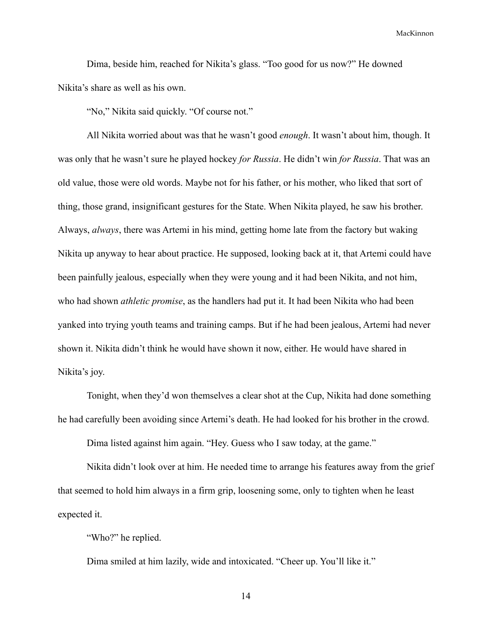Dima, beside him, reached for Nikita's glass. "Too good for us now?" He downed Nikita's share as well as his own.

"No," Nikita said quickly. "Of course not."

All Nikita worried about was that he wasn't good *enough*. It wasn't about him, though. It was only that he wasn't sure he played hockey *for Russia*. He didn't win *for Russia*. That was an old value, those were old words. Maybe not for his father, or his mother, who liked that sort of thing, those grand, insignificant gestures for the State. When Nikita played, he saw his brother. Always, *always*, there was Artemi in his mind, getting home late from the factory but waking Nikita up anyway to hear about practice. He supposed, looking back at it, that Artemi could have been painfully jealous, especially when they were young and it had been Nikita, and not him, who had shown *athletic promise*, as the handlers had put it. It had been Nikita who had been yanked into trying youth teams and training camps. But if he had been jealous, Artemi had never shown it. Nikita didn't think he would have shown it now, either. He would have shared in Nikita's joy.

Tonight, when they'd won themselves a clear shot at the Cup, Nikita had done something he had carefully been avoiding since Artemi's death. He had looked for his brother in the crowd.

Dima listed against him again. "Hey. Guess who I saw today, at the game."

Nikita didn't look over at him. He needed time to arrange his features away from the grief that seemed to hold him always in a firm grip, loosening some, only to tighten when he least expected it.

"Who?" he replied.

Dima smiled at him lazily, wide and intoxicated. "Cheer up. You'll like it."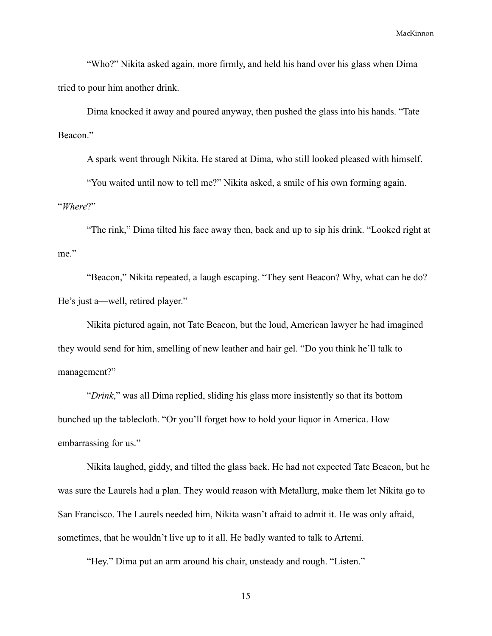"Who?" Nikita asked again, more firmly, and held his hand over his glass when Dima tried to pour him another drink.

Dima knocked it away and poured anyway, then pushed the glass into his hands. "Tate Beacon."

A spark went through Nikita. He stared at Dima, who still looked pleased with himself.

"You waited until now to tell me?" Nikita asked, a smile of his own forming again.

"*Where*?"

"The rink," Dima tilted his face away then, back and up to sip his drink. "Looked right at me."

"Beacon," Nikita repeated, a laugh escaping. "They sent Beacon? Why, what can he do? He's just a—well, retired player."

Nikita pictured again, not Tate Beacon, but the loud, American lawyer he had imagined they would send for him, smelling of new leather and hair gel. "Do you think he'll talk to management?"

"*Drink*," was all Dima replied, sliding his glass more insistently so that its bottom bunched up the tablecloth. "Or you'll forget how to hold your liquor in America. How embarrassing for us."

Nikita laughed, giddy, and tilted the glass back. He had not expected Tate Beacon, but he was sure the Laurels had a plan. They would reason with Metallurg, make them let Nikita go to San Francisco. The Laurels needed him, Nikita wasn't afraid to admit it. He was only afraid, sometimes, that he wouldn't live up to it all. He badly wanted to talk to Artemi.

"Hey." Dima put an arm around his chair, unsteady and rough. "Listen."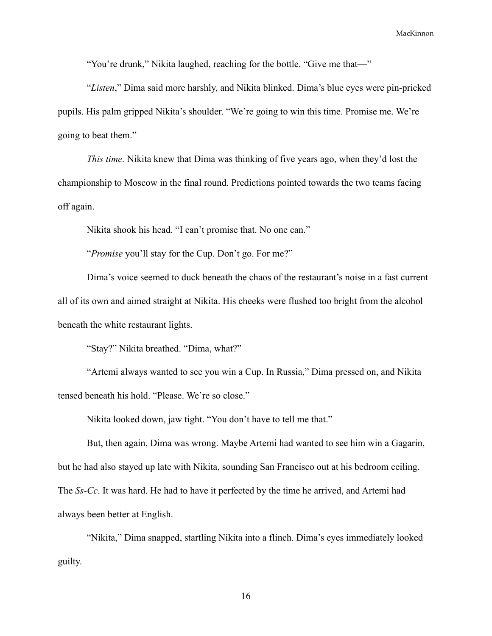"You're drunk," Nikita laughed, reaching for the bottle. "Give me that—"

"*Listen*," Dima said more harshly, and Nikita blinked. Dima's blue eyes were pin-pricked pupils. His palm gripped Nikita's shoulder. "We're going to win this time. Promise me. We're going to beat them."

*This time.* Nikita knew that Dima was thinking of five years ago, when they'd lost the championship to Moscow in the final round. Predictions pointed towards the two teams facing off again.

Nikita shook his head. "I can't promise that. No one can."

"*Promise* you'll stay for the Cup. Don't go. For me?"

Dima's voice seemed to duck beneath the chaos of the restaurant's noise in a fast current all of its own and aimed straight at Nikita. His cheeks were flushed too bright from the alcohol beneath the white restaurant lights.

"Stay?" Nikita breathed. "Dima, what?"

"Artemi always wanted to see you win a Cup. In Russia," Dima pressed on, and Nikita tensed beneath his hold. "Please. We're so close."

Nikita looked down, jaw tight. "You don't have to tell me that."

But, then again, Dima was wrong. Maybe Artemi had wanted to see him win a Gagarin, but he had also stayed up late with Nikita, sounding San Francisco out at his bedroom ceiling. The *Ss-Cc*. It was hard. He had to have it perfected by the time he arrived, and Artemi had always been better at English.

"Nikita," Dima snapped, startling Nikita into a flinch. Dima's eyes immediately looked guilty.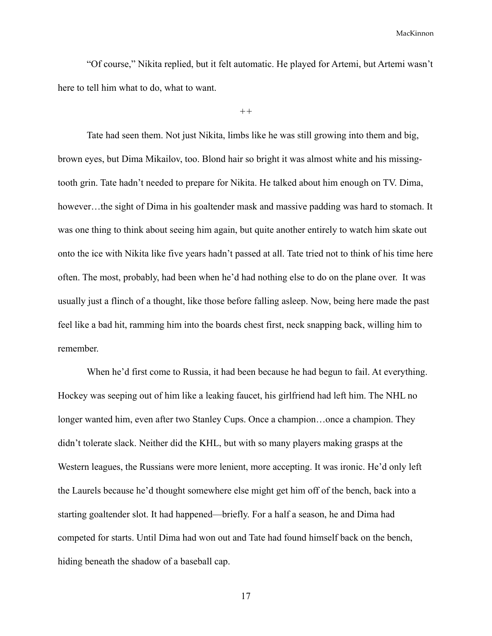"Of course," Nikita replied, but it felt automatic. He played for Artemi, but Artemi wasn't here to tell him what to do, what to want.

*++*

Tate had seen them. Not just Nikita, limbs like he was still growing into them and big, brown eyes, but Dima Mikailov, too. Blond hair so bright it was almost white and his missingtooth grin. Tate hadn't needed to prepare for Nikita. He talked about him enough on TV. Dima, however...the sight of Dima in his goaltender mask and massive padding was hard to stomach. It was one thing to think about seeing him again, but quite another entirely to watch him skate out onto the ice with Nikita like five years hadn't passed at all. Tate tried not to think of his time here often. The most, probably, had been when he'd had nothing else to do on the plane over. It was usually just a flinch of a thought, like those before falling asleep. Now, being here made the past feel like a bad hit, ramming him into the boards chest first, neck snapping back, willing him to remember.

When he'd first come to Russia, it had been because he had begun to fail. At everything. Hockey was seeping out of him like a leaking faucet, his girlfriend had left him. The NHL no longer wanted him, even after two Stanley Cups. Once a champion…once a champion. They didn't tolerate slack. Neither did the KHL, but with so many players making grasps at the Western leagues, the Russians were more lenient, more accepting. It was ironic. He'd only left the Laurels because he'd thought somewhere else might get him off of the bench, back into a starting goaltender slot. It had happened—briefly. For a half a season, he and Dima had competed for starts. Until Dima had won out and Tate had found himself back on the bench, hiding beneath the shadow of a baseball cap.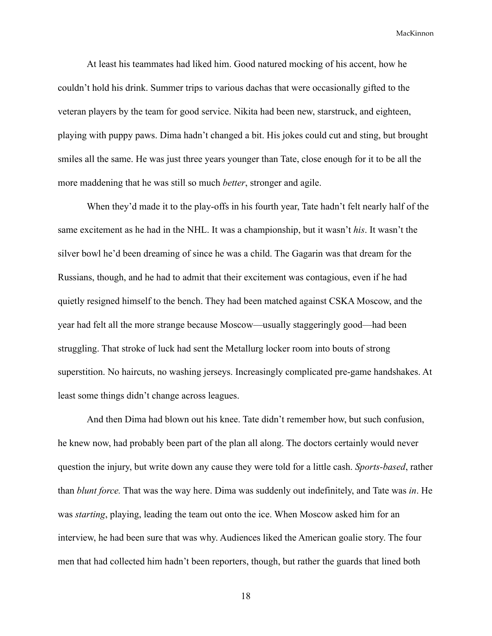At least his teammates had liked him. Good natured mocking of his accent, how he couldn't hold his drink. Summer trips to various dachas that were occasionally gifted to the veteran players by the team for good service. Nikita had been new, starstruck, and eighteen, playing with puppy paws. Dima hadn't changed a bit. His jokes could cut and sting, but brought smiles all the same. He was just three years younger than Tate, close enough for it to be all the more maddening that he was still so much *better*, stronger and agile.

When they'd made it to the play-offs in his fourth year, Tate hadn't felt nearly half of the same excitement as he had in the NHL. It was a championship, but it wasn't *his*. It wasn't the silver bowl he'd been dreaming of since he was a child. The Gagarin was that dream for the Russians, though, and he had to admit that their excitement was contagious, even if he had quietly resigned himself to the bench. They had been matched against CSKA Moscow, and the year had felt all the more strange because Moscow—usually staggeringly good—had been struggling. That stroke of luck had sent the Metallurg locker room into bouts of strong superstition. No haircuts, no washing jerseys. Increasingly complicated pre-game handshakes. At least some things didn't change across leagues.

And then Dima had blown out his knee. Tate didn't remember how, but such confusion, he knew now, had probably been part of the plan all along. The doctors certainly would never question the injury, but write down any cause they were told for a little cash. *Sports-based*, rather than *blunt force.* That was the way here. Dima was suddenly out indefinitely, and Tate was *in*. He was *starting*, playing, leading the team out onto the ice. When Moscow asked him for an interview, he had been sure that was why. Audiences liked the American goalie story. The four men that had collected him hadn't been reporters, though, but rather the guards that lined both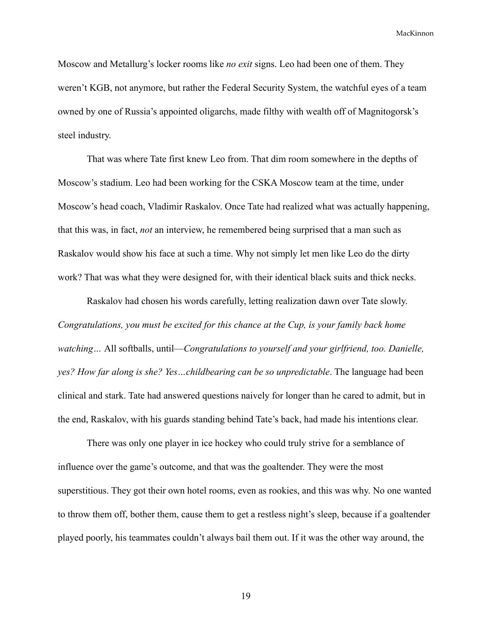Moscow and Metallurg's locker rooms like *no exit* signs. Leo had been one of them. They weren't KGB, not anymore, but rather the Federal Security System, the watchful eyes of a team owned by one of Russia's appointed oligarchs, made filthy with wealth off of Magnitogorsk's steel industry.

That was where Tate first knew Leo from. That dim room somewhere in the depths of Moscow's stadium. Leo had been working for the CSKA Moscow team at the time, under Moscow's head coach, Vladimir Raskalov. Once Tate had realized what was actually happening, that this was, in fact, *not* an interview, he remembered being surprised that a man such as Raskalov would show his face at such a time. Why not simply let men like Leo do the dirty work? That was what they were designed for, with their identical black suits and thick necks.

Raskalov had chosen his words carefully, letting realization dawn over Tate slowly. *Congratulations, you must be excited for this chance at the Cup, is your family back home watching…* All softballs, until—*Congratulations to yourself and your girlfriend, too. Danielle, yes? How far along is she? Yes…childbearing can be so unpredictable*. The language had been clinical and stark. Tate had answered questions naively for longer than he cared to admit, but in the end, Raskalov, with his guards standing behind Tate's back, had made his intentions clear.

There was only one player in ice hockey who could truly strive for a semblance of influence over the game's outcome, and that was the goaltender. They were the most superstitious. They got their own hotel rooms, even as rookies, and this was why. No one wanted to throw them off, bother them, cause them to get a restless night's sleep, because if a goaltender played poorly, his teammates couldn't always bail them out. If it was the other way around, the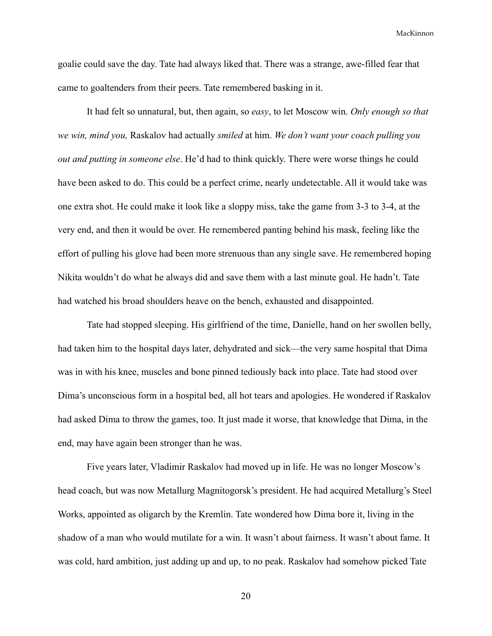goalie could save the day. Tate had always liked that. There was a strange, awe-filled fear that came to goaltenders from their peers. Tate remembered basking in it.

It had felt so unnatural, but, then again, so *easy*, to let Moscow win. *Only enough so that we win, mind you,* Raskalov had actually *smiled* at him. *We don't want your coach pulling you out and putting in someone else*. He'd had to think quickly. There were worse things he could have been asked to do. This could be a perfect crime, nearly undetectable. All it would take was one extra shot. He could make it look like a sloppy miss, take the game from 3-3 to 3-4, at the very end, and then it would be over. He remembered panting behind his mask, feeling like the effort of pulling his glove had been more strenuous than any single save. He remembered hoping Nikita wouldn't do what he always did and save them with a last minute goal. He hadn't. Tate had watched his broad shoulders heave on the bench, exhausted and disappointed.

Tate had stopped sleeping. His girlfriend of the time, Danielle, hand on her swollen belly, had taken him to the hospital days later, dehydrated and sick—the very same hospital that Dima was in with his knee, muscles and bone pinned tediously back into place. Tate had stood over Dima's unconscious form in a hospital bed, all hot tears and apologies. He wondered if Raskalov had asked Dima to throw the games, too. It just made it worse, that knowledge that Dima, in the end, may have again been stronger than he was.

Five years later, Vladimir Raskalov had moved up in life. He was no longer Moscow's head coach, but was now Metallurg Magnitogorsk's president. He had acquired Metallurg's Steel Works, appointed as oligarch by the Kremlin. Tate wondered how Dima bore it, living in the shadow of a man who would mutilate for a win. It wasn't about fairness. It wasn't about fame. It was cold, hard ambition, just adding up and up, to no peak. Raskalov had somehow picked Tate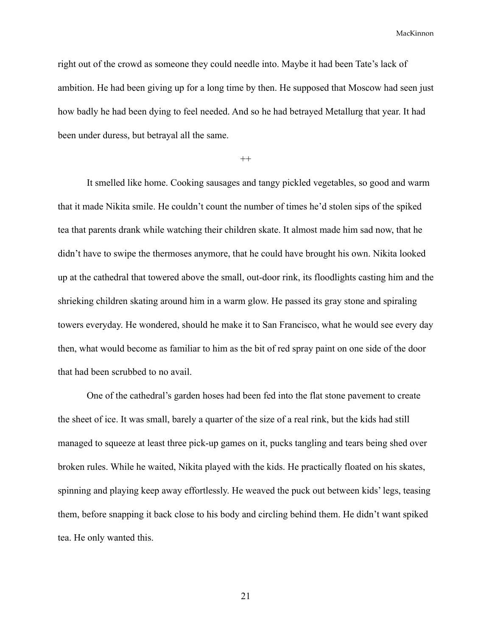right out of the crowd as someone they could needle into. Maybe it had been Tate's lack of ambition. He had been giving up for a long time by then. He supposed that Moscow had seen just how badly he had been dying to feel needed. And so he had betrayed Metallurg that year. It had been under duress, but betrayal all the same.

 $^{++}$ 

It smelled like home. Cooking sausages and tangy pickled vegetables, so good and warm that it made Nikita smile. He couldn't count the number of times he'd stolen sips of the spiked tea that parents drank while watching their children skate. It almost made him sad now, that he didn't have to swipe the thermoses anymore, that he could have brought his own. Nikita looked up at the cathedral that towered above the small, out-door rink, its floodlights casting him and the shrieking children skating around him in a warm glow. He passed its gray stone and spiraling towers everyday. He wondered, should he make it to San Francisco, what he would see every day then, what would become as familiar to him as the bit of red spray paint on one side of the door that had been scrubbed to no avail.

One of the cathedral's garden hoses had been fed into the flat stone pavement to create the sheet of ice. It was small, barely a quarter of the size of a real rink, but the kids had still managed to squeeze at least three pick-up games on it, pucks tangling and tears being shed over broken rules. While he waited, Nikita played with the kids. He practically floated on his skates, spinning and playing keep away effortlessly. He weaved the puck out between kids' legs, teasing them, before snapping it back close to his body and circling behind them. He didn't want spiked tea. He only wanted this.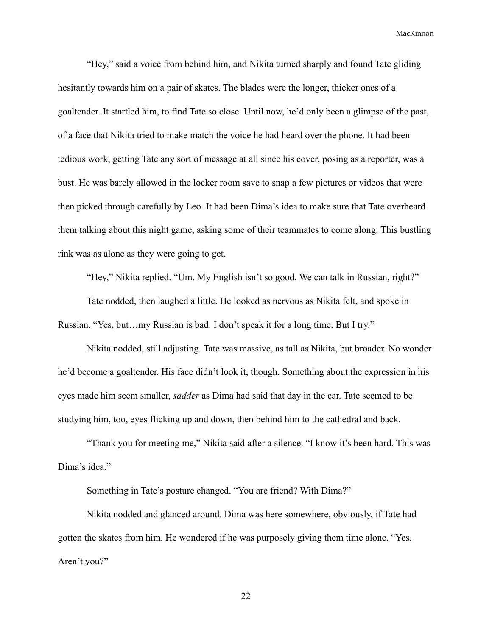"Hey," said a voice from behind him, and Nikita turned sharply and found Tate gliding hesitantly towards him on a pair of skates. The blades were the longer, thicker ones of a goaltender. It startled him, to find Tate so close. Until now, he'd only been a glimpse of the past, of a face that Nikita tried to make match the voice he had heard over the phone. It had been tedious work, getting Tate any sort of message at all since his cover, posing as a reporter, was a bust. He was barely allowed in the locker room save to snap a few pictures or videos that were then picked through carefully by Leo. It had been Dima's idea to make sure that Tate overheard them talking about this night game, asking some of their teammates to come along. This bustling rink was as alone as they were going to get.

"Hey," Nikita replied. "Um. My English isn't so good. We can talk in Russian, right?"

Tate nodded, then laughed a little. He looked as nervous as Nikita felt, and spoke in Russian. "Yes, but…my Russian is bad. I don't speak it for a long time. But I try."

Nikita nodded, still adjusting. Tate was massive, as tall as Nikita, but broader. No wonder he'd become a goaltender. His face didn't look it, though. Something about the expression in his eyes made him seem smaller, *sadder* as Dima had said that day in the car. Tate seemed to be studying him, too, eyes flicking up and down, then behind him to the cathedral and back.

"Thank you for meeting me," Nikita said after a silence. "I know it's been hard. This was Dima's idea."

Something in Tate's posture changed. "You are friend? With Dima?"

Nikita nodded and glanced around. Dima was here somewhere, obviously, if Tate had gotten the skates from him. He wondered if he was purposely giving them time alone. "Yes. Aren't you?"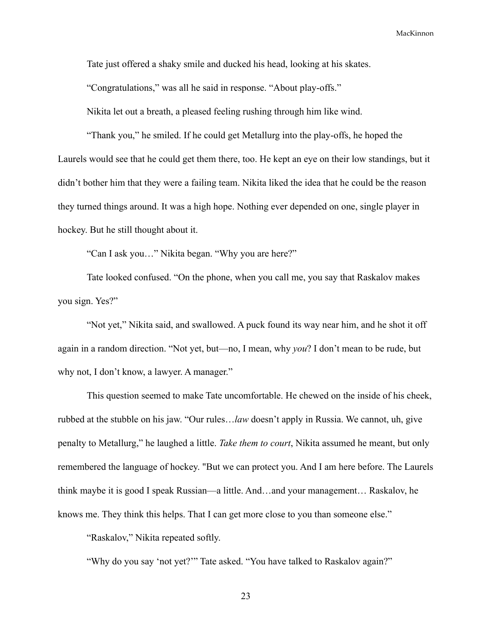Tate just offered a shaky smile and ducked his head, looking at his skates.

"Congratulations," was all he said in response. "About play-offs."

Nikita let out a breath, a pleased feeling rushing through him like wind.

"Thank you," he smiled. If he could get Metallurg into the play-offs, he hoped the Laurels would see that he could get them there, too. He kept an eye on their low standings, but it didn't bother him that they were a failing team. Nikita liked the idea that he could be the reason they turned things around. It was a high hope. Nothing ever depended on one, single player in hockey. But he still thought about it.

"Can I ask you…" Nikita began. "Why you are here?"

Tate looked confused. "On the phone, when you call me, you say that Raskalov makes you sign. Yes?"

"Not yet," Nikita said, and swallowed. A puck found its way near him, and he shot it off again in a random direction. "Not yet, but—no, I mean, why *you*? I don't mean to be rude, but why not, I don't know, a lawyer. A manager."

This question seemed to make Tate uncomfortable. He chewed on the inside of his cheek, rubbed at the stubble on his jaw. "Our rules…*law* doesn't apply in Russia. We cannot, uh, give penalty to Metallurg," he laughed a little. *Take them to court*, Nikita assumed he meant, but only remembered the language of hockey. "But we can protect you. And I am here before. The Laurels think maybe it is good I speak Russian—a little. And…and your management… Raskalov, he knows me. They think this helps. That I can get more close to you than someone else."

"Raskalov," Nikita repeated softly.

"Why do you say 'not yet?'" Tate asked. "You have talked to Raskalov again?"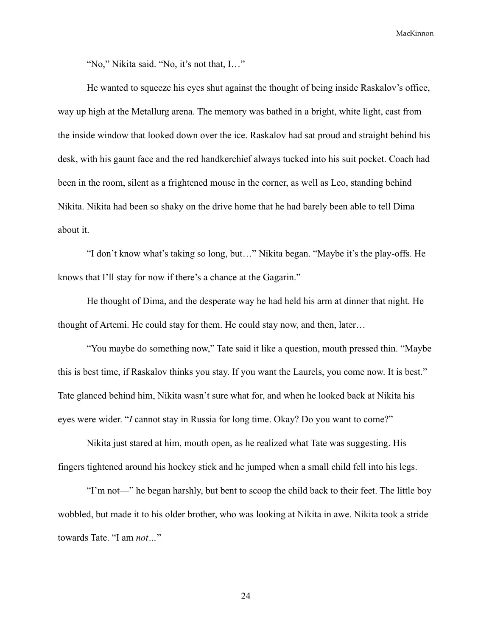"No," Nikita said. "No, it's not that, I…"

He wanted to squeeze his eyes shut against the thought of being inside Raskalov's office, way up high at the Metallurg arena. The memory was bathed in a bright, white light, cast from the inside window that looked down over the ice. Raskalov had sat proud and straight behind his desk, with his gaunt face and the red handkerchief always tucked into his suit pocket. Coach had been in the room, silent as a frightened mouse in the corner, as well as Leo, standing behind Nikita. Nikita had been so shaky on the drive home that he had barely been able to tell Dima about it.

"I don't know what's taking so long, but…" Nikita began. "Maybe it's the play-offs. He knows that I'll stay for now if there's a chance at the Gagarin."

He thought of Dima, and the desperate way he had held his arm at dinner that night. He thought of Artemi. He could stay for them. He could stay now, and then, later…

"You maybe do something now," Tate said it like a question, mouth pressed thin. "Maybe this is best time, if Raskalov thinks you stay. If you want the Laurels, you come now. It is best." Tate glanced behind him, Nikita wasn't sure what for, and when he looked back at Nikita his eyes were wider. "*I* cannot stay in Russia for long time. Okay? Do you want to come?"

Nikita just stared at him, mouth open, as he realized what Tate was suggesting. His fingers tightened around his hockey stick and he jumped when a small child fell into his legs.

"I'm not—" he began harshly, but bent to scoop the child back to their feet. The little boy wobbled, but made it to his older brother, who was looking at Nikita in awe. Nikita took a stride towards Tate. "I am *not…*"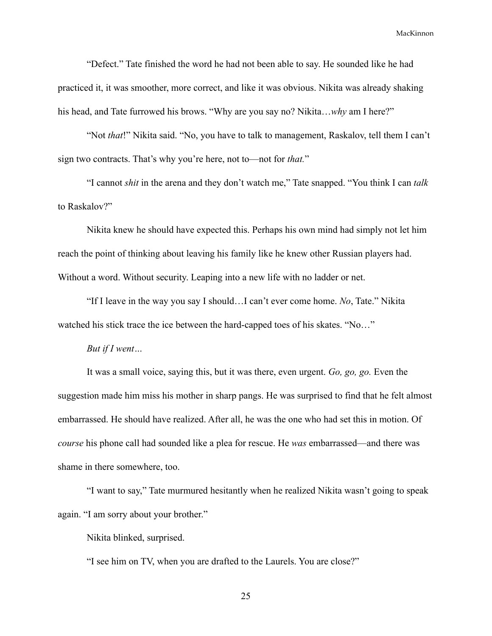"Defect." Tate finished the word he had not been able to say. He sounded like he had practiced it, it was smoother, more correct, and like it was obvious. Nikita was already shaking his head, and Tate furrowed his brows. "Why are you say no? Nikita…*why* am I here?"

"Not *that*!" Nikita said. "No, you have to talk to management, Raskalov, tell them I can't sign two contracts. That's why you're here, not to—not for *that.*"

"I cannot *shit* in the arena and they don't watch me," Tate snapped. "You think I can *talk* to Raskalov?"

Nikita knew he should have expected this. Perhaps his own mind had simply not let him reach the point of thinking about leaving his family like he knew other Russian players had. Without a word. Without security. Leaping into a new life with no ladder or net.

"If I leave in the way you say I should…I can't ever come home. *No*, Tate." Nikita watched his stick trace the ice between the hard-capped toes of his skates. "No..."

#### *But if I went…*

It was a small voice, saying this, but it was there, even urgent. *Go, go, go.* Even the suggestion made him miss his mother in sharp pangs. He was surprised to find that he felt almost embarrassed. He should have realized. After all, he was the one who had set this in motion. Of *course* his phone call had sounded like a plea for rescue. He *was* embarrassed—and there was shame in there somewhere, too.

"I want to say," Tate murmured hesitantly when he realized Nikita wasn't going to speak again. "I am sorry about your brother."

Nikita blinked, surprised.

"I see him on TV, when you are drafted to the Laurels. You are close?"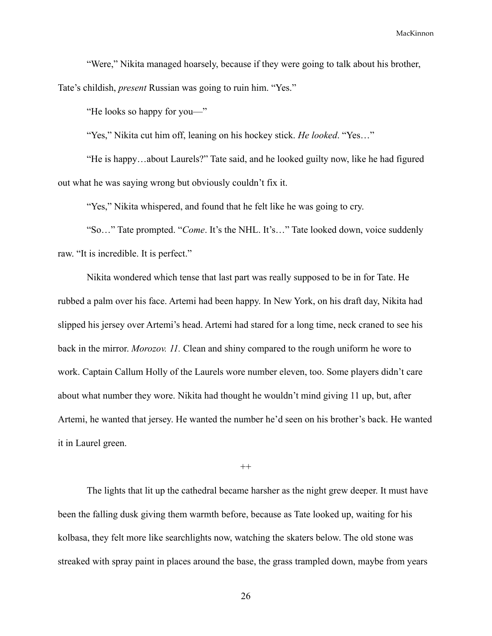"Were," Nikita managed hoarsely, because if they were going to talk about his brother, Tate's childish, *present* Russian was going to ruin him. "Yes."

"He looks so happy for you—"

"Yes," Nikita cut him off, leaning on his hockey stick. *He looked*. "Yes…"

"He is happy…about Laurels?" Tate said, and he looked guilty now, like he had figured out what he was saying wrong but obviously couldn't fix it.

"Yes," Nikita whispered, and found that he felt like he was going to cry.

"So…" Tate prompted. "*Come*. It's the NHL. It's…" Tate looked down, voice suddenly raw. "It is incredible. It is perfect."

Nikita wondered which tense that last part was really supposed to be in for Tate. He rubbed a palm over his face. Artemi had been happy. In New York, on his draft day, Nikita had slipped his jersey over Artemi's head. Artemi had stared for a long time, neck craned to see his back in the mirror. *Morozov. 11.* Clean and shiny compared to the rough uniform he wore to work. Captain Callum Holly of the Laurels wore number eleven, too. Some players didn't care about what number they wore. Nikita had thought he wouldn't mind giving 11 up, but, after Artemi, he wanted that jersey. He wanted the number he'd seen on his brother's back. He wanted it in Laurel green.

 $++$ 

The lights that lit up the cathedral became harsher as the night grew deeper. It must have been the falling dusk giving them warmth before, because as Tate looked up, waiting for his kolbasa, they felt more like searchlights now, watching the skaters below. The old stone was streaked with spray paint in places around the base, the grass trampled down, maybe from years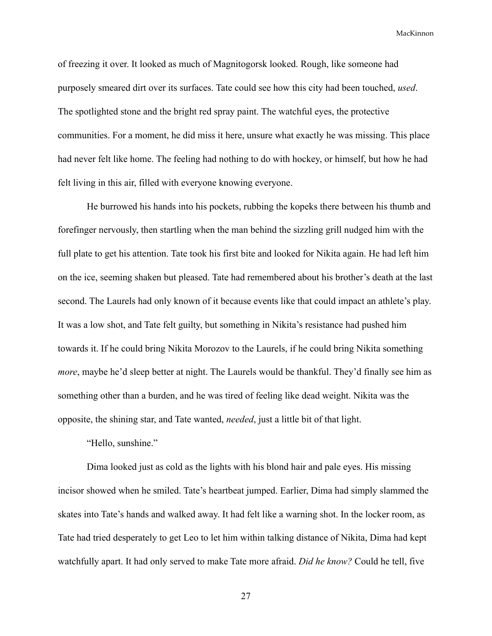of freezing it over. It looked as much of Magnitogorsk looked. Rough, like someone had purposely smeared dirt over its surfaces. Tate could see how this city had been touched, *used*. The spotlighted stone and the bright red spray paint. The watchful eyes, the protective communities. For a moment, he did miss it here, unsure what exactly he was missing. This place had never felt like home. The feeling had nothing to do with hockey, or himself, but how he had felt living in this air, filled with everyone knowing everyone.

He burrowed his hands into his pockets, rubbing the kopeks there between his thumb and forefinger nervously, then startling when the man behind the sizzling grill nudged him with the full plate to get his attention. Tate took his first bite and looked for Nikita again. He had left him on the ice, seeming shaken but pleased. Tate had remembered about his brother's death at the last second. The Laurels had only known of it because events like that could impact an athlete's play. It was a low shot, and Tate felt guilty, but something in Nikita's resistance had pushed him towards it. If he could bring Nikita Morozov to the Laurels, if he could bring Nikita something *more*, maybe he'd sleep better at night. The Laurels would be thankful. They'd finally see him as something other than a burden, and he was tired of feeling like dead weight. Nikita was the opposite, the shining star, and Tate wanted, *needed*, just a little bit of that light.

"Hello, sunshine."

Dima looked just as cold as the lights with his blond hair and pale eyes. His missing incisor showed when he smiled. Tate's heartbeat jumped. Earlier, Dima had simply slammed the skates into Tate's hands and walked away. It had felt like a warning shot. In the locker room, as Tate had tried desperately to get Leo to let him within talking distance of Nikita, Dima had kept watchfully apart. It had only served to make Tate more afraid. *Did he know?* Could he tell, five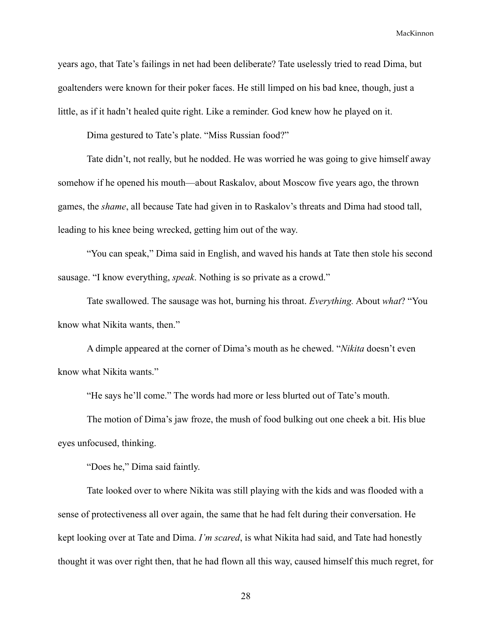years ago, that Tate's failings in net had been deliberate? Tate uselessly tried to read Dima, but goaltenders were known for their poker faces. He still limped on his bad knee, though, just a little, as if it hadn't healed quite right. Like a reminder. God knew how he played on it.

Dima gestured to Tate's plate. "Miss Russian food?"

Tate didn't, not really, but he nodded. He was worried he was going to give himself away somehow if he opened his mouth—about Raskalov, about Moscow five years ago, the thrown games, the *shame*, all because Tate had given in to Raskalov's threats and Dima had stood tall, leading to his knee being wrecked, getting him out of the way.

"You can speak," Dima said in English, and waved his hands at Tate then stole his second sausage. "I know everything, *speak*. Nothing is so private as a crowd."

Tate swallowed. The sausage was hot, burning his throat. *Everything.* About *what*? "You know what Nikita wants, then."

A dimple appeared at the corner of Dima's mouth as he chewed. "*Nikita* doesn't even know what Nikita wants."

"He says he'll come." The words had more or less blurted out of Tate's mouth.

The motion of Dima's jaw froze, the mush of food bulking out one cheek a bit. His blue eyes unfocused, thinking.

"Does he," Dima said faintly.

Tate looked over to where Nikita was still playing with the kids and was flooded with a sense of protectiveness all over again, the same that he had felt during their conversation. He kept looking over at Tate and Dima. *I'm scared*, is what Nikita had said, and Tate had honestly thought it was over right then, that he had flown all this way, caused himself this much regret, for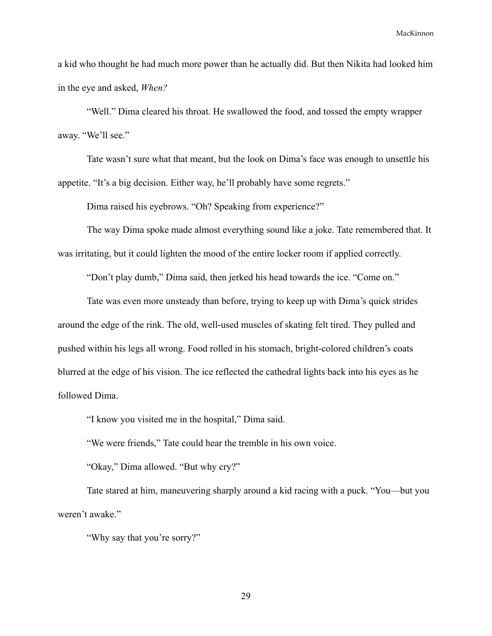a kid who thought he had much more power than he actually did. But then Nikita had looked him in the eye and asked, *When?*

"Well." Dima cleared his throat. He swallowed the food, and tossed the empty wrapper away. "We'll see."

Tate wasn't sure what that meant, but the look on Dima's face was enough to unsettle his appetite. "It's a big decision. Either way, he'll probably have some regrets."

Dima raised his eyebrows. "Oh? Speaking from experience?"

The way Dima spoke made almost everything sound like a joke. Tate remembered that. It was irritating, but it could lighten the mood of the entire locker room if applied correctly.

"Don't play dumb," Dima said, then jerked his head towards the ice. "Come on."

Tate was even more unsteady than before, trying to keep up with Dima's quick strides around the edge of the rink. The old, well-used muscles of skating felt tired. They pulled and pushed within his legs all wrong. Food rolled in his stomach, bright-colored children's coats blurred at the edge of his vision. The ice reflected the cathedral lights back into his eyes as he followed Dima.

"I know you visited me in the hospital," Dima said.

"We were friends," Tate could hear the tremble in his own voice.

"Okay," Dima allowed. "But why cry?"

Tate stared at him, maneuvering sharply around a kid racing with a puck. "You—but you weren't awake."

"Why say that you're sorry?"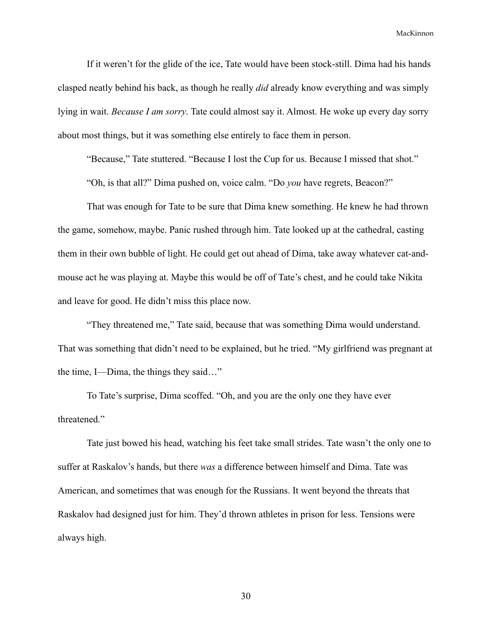If it weren't for the glide of the ice, Tate would have been stock-still. Dima had his hands clasped neatly behind his back, as though he really *did* already know everything and was simply lying in wait. *Because I am sorry*. Tate could almost say it. Almost. He woke up every day sorry about most things, but it was something else entirely to face them in person.

"Because," Tate stuttered. "Because I lost the Cup for us. Because I missed that shot."

"Oh, is that all?" Dima pushed on, voice calm. "Do *you* have regrets, Beacon?"

That was enough for Tate to be sure that Dima knew something. He knew he had thrown the game, somehow, maybe. Panic rushed through him. Tate looked up at the cathedral, casting them in their own bubble of light. He could get out ahead of Dima, take away whatever cat-andmouse act he was playing at. Maybe this would be off of Tate's chest, and he could take Nikita and leave for good. He didn't miss this place now.

"They threatened me," Tate said, because that was something Dima would understand. That was something that didn't need to be explained, but he tried. "My girlfriend was pregnant at the time, I—Dima, the things they said…"

To Tate's surprise, Dima scoffed. "Oh, and you are the only one they have ever threatened."

Tate just bowed his head, watching his feet take small strides. Tate wasn't the only one to suffer at Raskalov's hands, but there *was* a difference between himself and Dima. Tate was American, and sometimes that was enough for the Russians. It went beyond the threats that Raskalov had designed just for him. They'd thrown athletes in prison for less. Tensions were always high.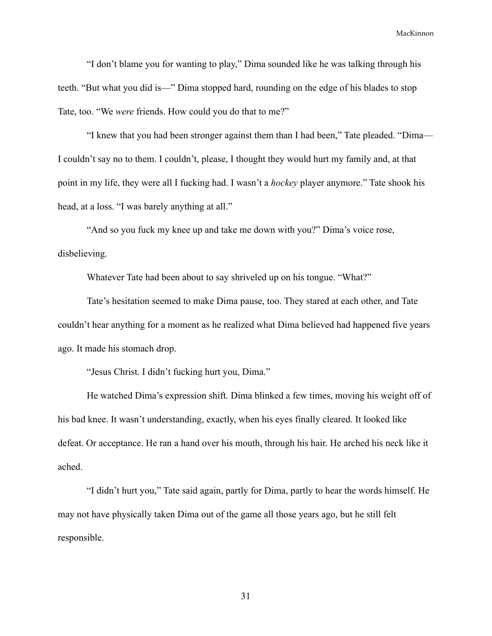"I don't blame you for wanting to play," Dima sounded like he was talking through his teeth. "But what you did is—" Dima stopped hard, rounding on the edge of his blades to stop Tate, too. "We *were* friends. How could you do that to me?"

"I knew that you had been stronger against them than I had been," Tate pleaded. "Dima— I couldn't say no to them. I couldn't, please, I thought they would hurt my family and, at that point in my life, they were all I fucking had. I wasn't a *hockey* player anymore." Tate shook his head, at a loss. "I was barely anything at all."

"And so you fuck my knee up and take me down with you?" Dima's voice rose, disbelieving.

Whatever Tate had been about to say shriveled up on his tongue. "What?"

Tate's hesitation seemed to make Dima pause, too. They stared at each other, and Tate couldn't hear anything for a moment as he realized what Dima believed had happened five years ago. It made his stomach drop.

"Jesus Christ. I didn't fucking hurt you, Dima."

He watched Dima's expression shift. Dima blinked a few times, moving his weight off of his bad knee. It wasn't understanding, exactly, when his eyes finally cleared. It looked like defeat. Or acceptance. He ran a hand over his mouth, through his hair. He arched his neck like it ached.

"I didn't hurt you," Tate said again, partly for Dima, partly to hear the words himself. He may not have physically taken Dima out of the game all those years ago, but he still felt responsible.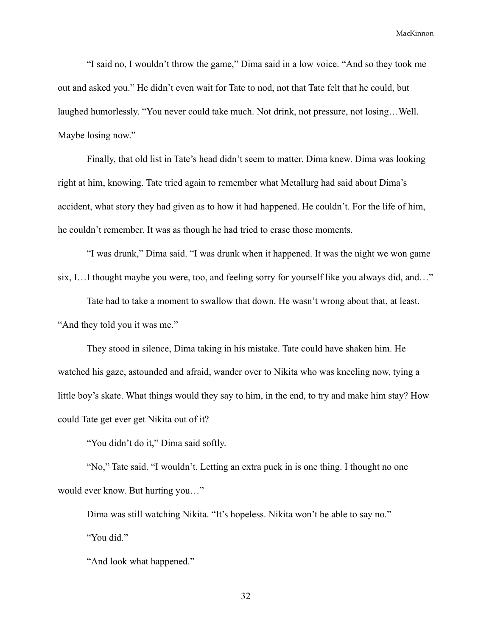"I said no, I wouldn't throw the game," Dima said in a low voice. "And so they took me out and asked you." He didn't even wait for Tate to nod, not that Tate felt that he could, but laughed humorlessly. "You never could take much. Not drink, not pressure, not losing…Well. Maybe losing now."

Finally, that old list in Tate's head didn't seem to matter. Dima knew. Dima was looking right at him, knowing. Tate tried again to remember what Metallurg had said about Dima's accident, what story they had given as to how it had happened. He couldn't. For the life of him, he couldn't remember. It was as though he had tried to erase those moments.

"I was drunk," Dima said. "I was drunk when it happened. It was the night we won game six, I…I thought maybe you were, too, and feeling sorry for yourself like you always did, and…"

Tate had to take a moment to swallow that down. He wasn't wrong about that, at least. "And they told you it was me."

They stood in silence, Dima taking in his mistake. Tate could have shaken him. He watched his gaze, astounded and afraid, wander over to Nikita who was kneeling now, tying a little boy's skate. What things would they say to him, in the end, to try and make him stay? How could Tate get ever get Nikita out of it?

"You didn't do it," Dima said softly.

"No," Tate said. "I wouldn't. Letting an extra puck in is one thing. I thought no one would ever know. But hurting you…"

Dima was still watching Nikita. "It's hopeless. Nikita won't be able to say no." "You did."

"And look what happened."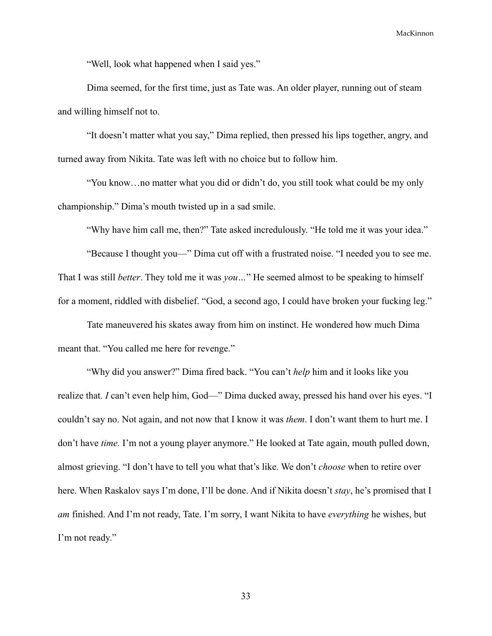"Well, look what happened when I said yes."

Dima seemed, for the first time, just as Tate was. An older player, running out of steam and willing himself not to.

"It doesn't matter what you say," Dima replied, then pressed his lips together, angry, and turned away from Nikita. Tate was left with no choice but to follow him.

"You know…no matter what you did or didn't do, you still took what could be my only championship." Dima's mouth twisted up in a sad smile.

"Why have him call me, then?" Tate asked incredulously. "He told me it was your idea."

"Because I thought you—" Dima cut off with a frustrated noise. "I needed you to see me. That I was still *better*. They told me it was *you…*" He seemed almost to be speaking to himself for a moment, riddled with disbelief. "God, a second ago, I could have broken your fucking leg."

Tate maneuvered his skates away from him on instinct. He wondered how much Dima meant that. "You called me here for revenge."

"Why did you answer?" Dima fired back. "You can't *help* him and it looks like you realize that. *I* can't even help him, God—" Dima ducked away, pressed his hand over his eyes. "I couldn't say no. Not again, and not now that I know it was *them*. I don't want them to hurt me. I don't have *time.* I'm not a young player anymore." He looked at Tate again, mouth pulled down, almost grieving. "I don't have to tell you what that's like. We don't *choose* when to retire over here. When Raskalov says I'm done, I'll be done. And if Nikita doesn't *stay*, he's promised that I *am* finished. And I'm not ready, Tate. I'm sorry, I want Nikita to have *everything* he wishes, but I'm not ready."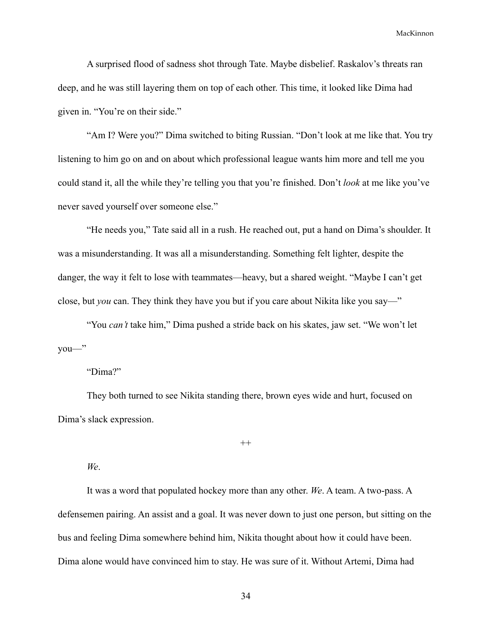A surprised flood of sadness shot through Tate. Maybe disbelief. Raskalov's threats ran deep, and he was still layering them on top of each other. This time, it looked like Dima had given in. "You're on their side."

"Am I? Were you?" Dima switched to biting Russian. "Don't look at me like that. You try listening to him go on and on about which professional league wants him more and tell me you could stand it, all the while they're telling you that you're finished. Don't *look* at me like you've never saved yourself over someone else."

"He needs you," Tate said all in a rush. He reached out, put a hand on Dima's shoulder. It was a misunderstanding. It was all a misunderstanding. Something felt lighter, despite the danger, the way it felt to lose with teammates—heavy, but a shared weight. "Maybe I can't get close, but *you* can. They think they have you but if you care about Nikita like you say—"

"You *can't* take him," Dima pushed a stride back on his skates, jaw set. "We won't let you—"

### "Dima?"

They both turned to see Nikita standing there, brown eyes wide and hurt, focused on Dima's slack expression.

 $^{++}$ 

#### *We*.

It was a word that populated hockey more than any other. *We*. A team. A two-pass. A defensemen pairing. An assist and a goal. It was never down to just one person, but sitting on the bus and feeling Dima somewhere behind him, Nikita thought about how it could have been. Dima alone would have convinced him to stay. He was sure of it. Without Artemi, Dima had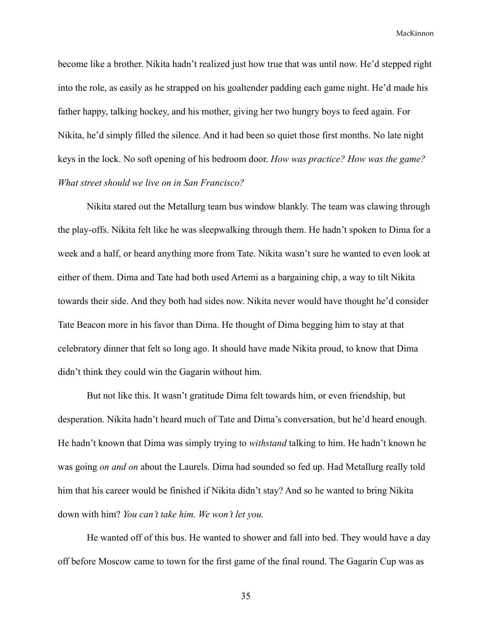become like a brother. Nikita hadn't realized just how true that was until now. He'd stepped right into the role, as easily as he strapped on his goaltender padding each game night. He'd made his father happy, talking hockey, and his mother, giving her two hungry boys to feed again. For Nikita, he'd simply filled the silence. And it had been so quiet those first months. No late night keys in the lock. No soft opening of his bedroom door. *How was practice? How was the game? What street should we live on in San Francisco?*

Nikita stared out the Metallurg team bus window blankly. The team was clawing through the play-offs. Nikita felt like he was sleepwalking through them. He hadn't spoken to Dima for a week and a half, or heard anything more from Tate. Nikita wasn't sure he wanted to even look at either of them. Dima and Tate had both used Artemi as a bargaining chip, a way to tilt Nikita towards their side. And they both had sides now. Nikita never would have thought he'd consider Tate Beacon more in his favor than Dima. He thought of Dima begging him to stay at that celebratory dinner that felt so long ago. It should have made Nikita proud, to know that Dima didn't think they could win the Gagarin without him.

But not like this. It wasn't gratitude Dima felt towards him, or even friendship, but desperation. Nikita hadn't heard much of Tate and Dima's conversation, but he'd heard enough. He hadn't known that Dima was simply trying to *withstand* talking to him. He hadn't known he was going *on and on* about the Laurels. Dima had sounded so fed up. Had Metallurg really told him that his career would be finished if Nikita didn't stay? And so he wanted to bring Nikita down with him? *You can't take him. We won't let you.*

He wanted off of this bus. He wanted to shower and fall into bed. They would have a day off before Moscow came to town for the first game of the final round. The Gagarin Cup was as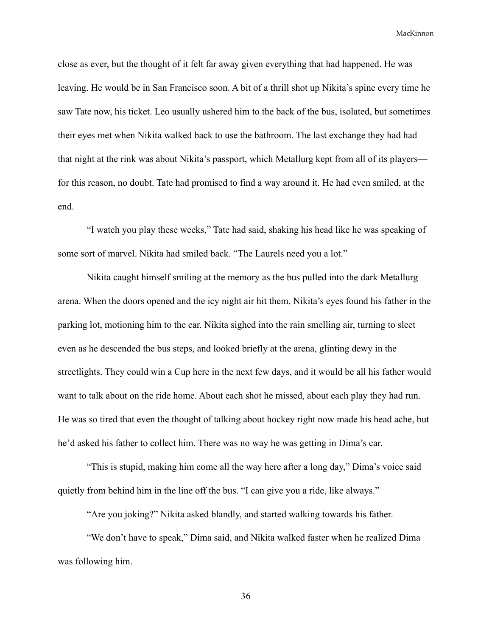close as ever, but the thought of it felt far away given everything that had happened. He was leaving. He would be in San Francisco soon. A bit of a thrill shot up Nikita's spine every time he saw Tate now, his ticket. Leo usually ushered him to the back of the bus, isolated, but sometimes their eyes met when Nikita walked back to use the bathroom. The last exchange they had had that night at the rink was about Nikita's passport, which Metallurg kept from all of its players for this reason, no doubt. Tate had promised to find a way around it. He had even smiled, at the end.

"I watch you play these weeks," Tate had said, shaking his head like he was speaking of some sort of marvel. Nikita had smiled back. "The Laurels need you a lot."

Nikita caught himself smiling at the memory as the bus pulled into the dark Metallurg arena. When the doors opened and the icy night air hit them, Nikita's eyes found his father in the parking lot, motioning him to the car. Nikita sighed into the rain smelling air, turning to sleet even as he descended the bus steps, and looked briefly at the arena, glinting dewy in the streetlights. They could win a Cup here in the next few days, and it would be all his father would want to talk about on the ride home. About each shot he missed, about each play they had run. He was so tired that even the thought of talking about hockey right now made his head ache, but he'd asked his father to collect him. There was no way he was getting in Dima's car.

"This is stupid, making him come all the way here after a long day," Dima's voice said quietly from behind him in the line off the bus. "I can give you a ride, like always."

"Are you joking?" Nikita asked blandly, and started walking towards his father.

"We don't have to speak," Dima said, and Nikita walked faster when he realized Dima was following him.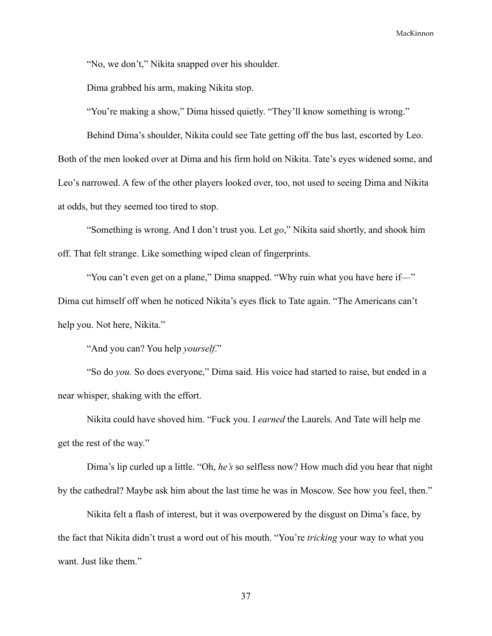"No, we don't," Nikita snapped over his shoulder.

Dima grabbed his arm, making Nikita stop.

"You're making a show," Dima hissed quietly. "They'll know something is wrong."

Behind Dima's shoulder, Nikita could see Tate getting off the bus last, escorted by Leo. Both of the men looked over at Dima and his firm hold on Nikita. Tate's eyes widened some, and Leo's narrowed. A few of the other players looked over, too, not used to seeing Dima and Nikita at odds, but they seemed too tired to stop.

"Something is wrong. And I don't trust you. Let *go*," Nikita said shortly, and shook him off. That felt strange. Like something wiped clean of fingerprints.

"You can't even get on a plane," Dima snapped. "Why ruin what you have here if—" Dima cut himself off when he noticed Nikita's eyes flick to Tate again. "The Americans can't help you. Not here, Nikita."

"And you can? You help *yourself*."

"So do *you.* So does everyone," Dima said. His voice had started to raise, but ended in a near whisper, shaking with the effort.

Nikita could have shoved him. "Fuck you. I *earned* the Laurels. And Tate will help me get the rest of the way."

Dima's lip curled up a little. "Oh, *he's* so selfless now? How much did you hear that night by the cathedral? Maybe ask him about the last time he was in Moscow. See how you feel, then."

Nikita felt a flash of interest, but it was overpowered by the disgust on Dima's face, by the fact that Nikita didn't trust a word out of his mouth. "You're *tricking* your way to what you want. Just like them."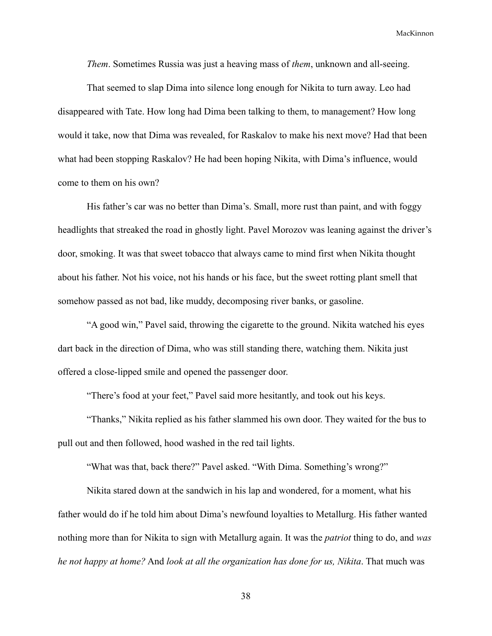*Them*. Sometimes Russia was just a heaving mass of *them*, unknown and all-seeing.

That seemed to slap Dima into silence long enough for Nikita to turn away. Leo had disappeared with Tate. How long had Dima been talking to them, to management? How long would it take, now that Dima was revealed, for Raskalov to make his next move? Had that been what had been stopping Raskalov? He had been hoping Nikita, with Dima's influence, would come to them on his own?

His father's car was no better than Dima's. Small, more rust than paint, and with foggy headlights that streaked the road in ghostly light. Pavel Morozov was leaning against the driver's door, smoking. It was that sweet tobacco that always came to mind first when Nikita thought about his father. Not his voice, not his hands or his face, but the sweet rotting plant smell that somehow passed as not bad, like muddy, decomposing river banks, or gasoline.

"A good win," Pavel said, throwing the cigarette to the ground. Nikita watched his eyes dart back in the direction of Dima, who was still standing there, watching them. Nikita just offered a close-lipped smile and opened the passenger door.

"There's food at your feet," Pavel said more hesitantly, and took out his keys.

"Thanks," Nikita replied as his father slammed his own door. They waited for the bus to pull out and then followed, hood washed in the red tail lights.

"What was that, back there?" Pavel asked. "With Dima. Something's wrong?"

Nikita stared down at the sandwich in his lap and wondered, for a moment, what his father would do if he told him about Dima's newfound loyalties to Metallurg. His father wanted nothing more than for Nikita to sign with Metallurg again. It was the *patriot* thing to do, and *was he not happy at home?* And *look at all the organization has done for us, Nikita*. That much was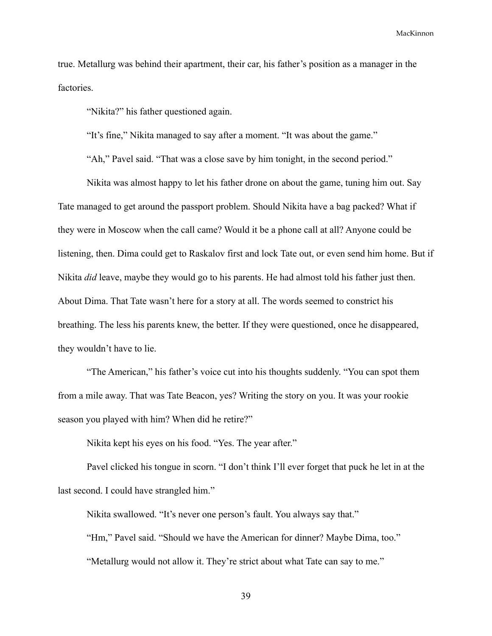true. Metallurg was behind their apartment, their car, his father's position as a manager in the factories.

"Nikita?" his father questioned again.

"It's fine," Nikita managed to say after a moment. "It was about the game."

"Ah," Pavel said. "That was a close save by him tonight, in the second period."

Nikita was almost happy to let his father drone on about the game, tuning him out. Say Tate managed to get around the passport problem. Should Nikita have a bag packed? What if they were in Moscow when the call came? Would it be a phone call at all? Anyone could be listening, then. Dima could get to Raskalov first and lock Tate out, or even send him home. But if Nikita *did* leave, maybe they would go to his parents. He had almost told his father just then. About Dima. That Tate wasn't here for a story at all. The words seemed to constrict his breathing. The less his parents knew, the better. If they were questioned, once he disappeared, they wouldn't have to lie.

"The American," his father's voice cut into his thoughts suddenly. "You can spot them from a mile away. That was Tate Beacon, yes? Writing the story on you. It was your rookie season you played with him? When did he retire?"

Nikita kept his eyes on his food. "Yes. The year after."

Pavel clicked his tongue in scorn. "I don't think I'll ever forget that puck he let in at the last second. I could have strangled him."

Nikita swallowed. "It's never one person's fault. You always say that."

"Hm," Pavel said. "Should we have the American for dinner? Maybe Dima, too."

"Metallurg would not allow it. They're strict about what Tate can say to me."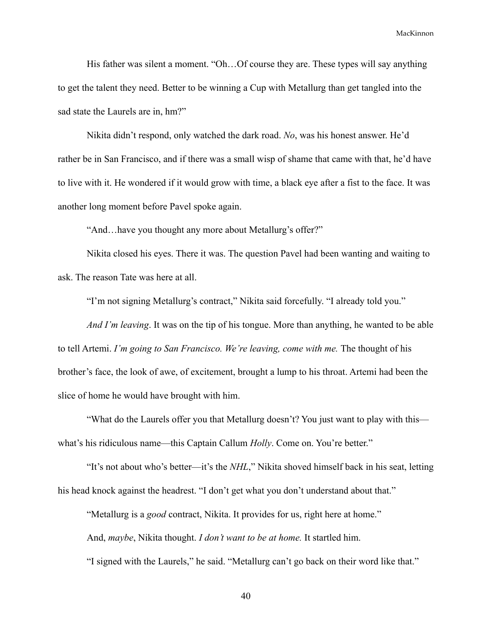His father was silent a moment. "Oh...Of course they are. These types will say anything to get the talent they need. Better to be winning a Cup with Metallurg than get tangled into the sad state the Laurels are in, hm?"

Nikita didn't respond, only watched the dark road. *No*, was his honest answer. He'd rather be in San Francisco, and if there was a small wisp of shame that came with that, he'd have to live with it. He wondered if it would grow with time, a black eye after a fist to the face. It was another long moment before Pavel spoke again.

"And…have you thought any more about Metallurg's offer?"

Nikita closed his eyes. There it was. The question Pavel had been wanting and waiting to ask. The reason Tate was here at all.

"I'm not signing Metallurg's contract," Nikita said forcefully. "I already told you."

*And I'm leaving*. It was on the tip of his tongue. More than anything, he wanted to be able to tell Artemi. *I'm going to San Francisco. We're leaving, come with me.* The thought of his brother's face, the look of awe, of excitement, brought a lump to his throat. Artemi had been the slice of home he would have brought with him.

"What do the Laurels offer you that Metallurg doesn't? You just want to play with this what's his ridiculous name—this Captain Callum *Holly*. Come on. You're better."

"It's not about who's better—it's the *NHL*," Nikita shoved himself back in his seat, letting his head knock against the headrest. "I don't get what you don't understand about that."

"Metallurg is a *good* contract, Nikita. It provides for us, right here at home."

And, *maybe*, Nikita thought. *I don't want to be at home.* It startled him.

"I signed with the Laurels," he said. "Metallurg can't go back on their word like that."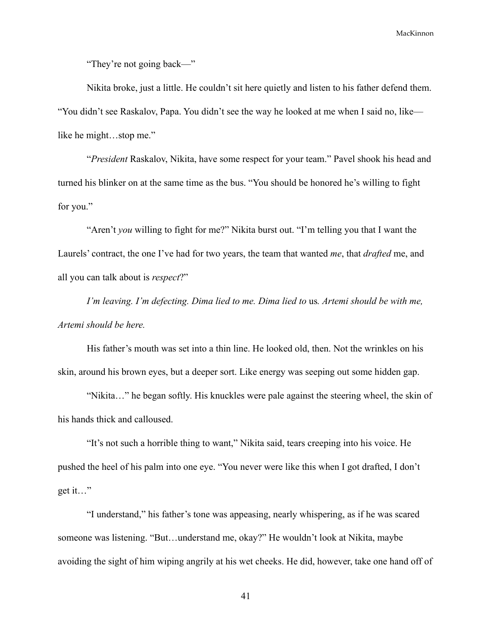"They're not going back—"

Nikita broke, just a little. He couldn't sit here quietly and listen to his father defend them. "You didn't see Raskalov, Papa. You didn't see the way he looked at me when I said no, like like he might…stop me."

"*President* Raskalov, Nikita, have some respect for your team." Pavel shook his head and turned his blinker on at the same time as the bus. "You should be honored he's willing to fight for you."

"Aren't *you* willing to fight for me?" Nikita burst out. "I'm telling you that I want the Laurels' contract, the one I've had for two years, the team that wanted *me*, that *drafted* me, and all you can talk about is *respect*?"

*I'm leaving. I'm defecting. Dima lied to me. Dima lied to* us*. Artemi should be with me, Artemi should be here.*

His father's mouth was set into a thin line. He looked old, then. Not the wrinkles on his skin, around his brown eyes, but a deeper sort. Like energy was seeping out some hidden gap.

"Nikita…" he began softly. His knuckles were pale against the steering wheel, the skin of his hands thick and calloused.

"It's not such a horrible thing to want," Nikita said, tears creeping into his voice. He pushed the heel of his palm into one eye. "You never were like this when I got drafted, I don't get it…"

"I understand," his father's tone was appeasing, nearly whispering, as if he was scared someone was listening. "But…understand me, okay?" He wouldn't look at Nikita, maybe avoiding the sight of him wiping angrily at his wet cheeks. He did, however, take one hand off of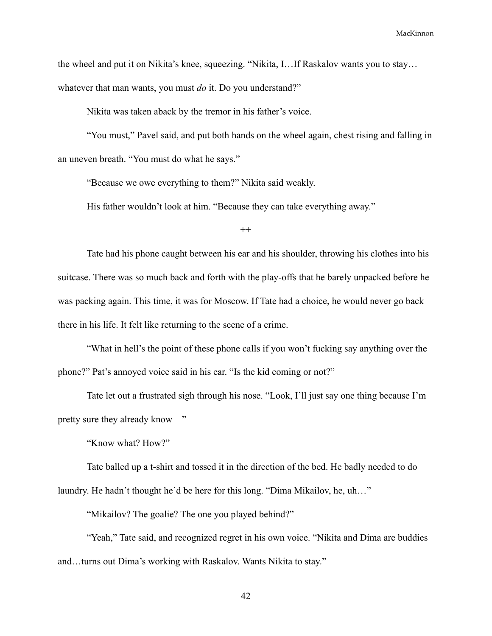the wheel and put it on Nikita's knee, squeezing. "Nikita, I…If Raskalov wants you to stay…

whatever that man wants, you must *do* it. Do you understand?"

Nikita was taken aback by the tremor in his father's voice.

"You must," Pavel said, and put both hands on the wheel again, chest rising and falling in an uneven breath. "You must do what he says."

"Because we owe everything to them?" Nikita said weakly.

His father wouldn't look at him. "Because they can take everything away."

 $^{++}$ 

Tate had his phone caught between his ear and his shoulder, throwing his clothes into his suitcase. There was so much back and forth with the play-offs that he barely unpacked before he was packing again. This time, it was for Moscow. If Tate had a choice, he would never go back there in his life. It felt like returning to the scene of a crime.

"What in hell's the point of these phone calls if you won't fucking say anything over the phone?" Pat's annoyed voice said in his ear. "Is the kid coming or not?"

Tate let out a frustrated sigh through his nose. "Look, I'll just say one thing because I'm pretty sure they already know—"

"Know what? How?"

Tate balled up a t-shirt and tossed it in the direction of the bed. He badly needed to do laundry. He hadn't thought he'd be here for this long. "Dima Mikailov, he, uh…"

"Mikailov? The goalie? The one you played behind?"

"Yeah," Tate said, and recognized regret in his own voice. "Nikita and Dima are buddies" and…turns out Dima's working with Raskalov. Wants Nikita to stay."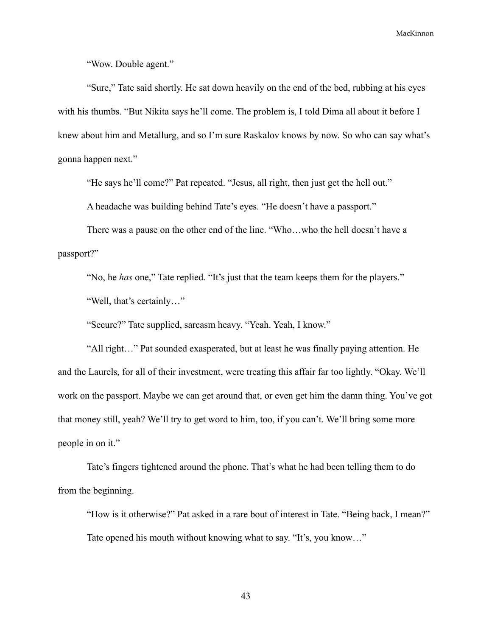"Wow. Double agent."

"Sure," Tate said shortly. He sat down heavily on the end of the bed, rubbing at his eyes with his thumbs. "But Nikita says he'll come. The problem is, I told Dima all about it before I knew about him and Metallurg, and so I'm sure Raskalov knows by now. So who can say what's gonna happen next."

"He says he'll come?" Pat repeated. "Jesus, all right, then just get the hell out."

A headache was building behind Tate's eyes. "He doesn't have a passport."

There was a pause on the other end of the line. "Who…who the hell doesn't have a passport?"

"No, he *has* one," Tate replied. "It's just that the team keeps them for the players." "Well, that's certainly…"

"Secure?" Tate supplied, sarcasm heavy. "Yeah. Yeah, I know."

"All right…" Pat sounded exasperated, but at least he was finally paying attention. He and the Laurels, for all of their investment, were treating this affair far too lightly. "Okay. We'll work on the passport. Maybe we can get around that, or even get him the damn thing. You've got that money still, yeah? We'll try to get word to him, too, if you can't. We'll bring some more people in on it."

Tate's fingers tightened around the phone. That's what he had been telling them to do from the beginning.

"How is it otherwise?" Pat asked in a rare bout of interest in Tate. "Being back, I mean?" Tate opened his mouth without knowing what to say. "It's, you know…"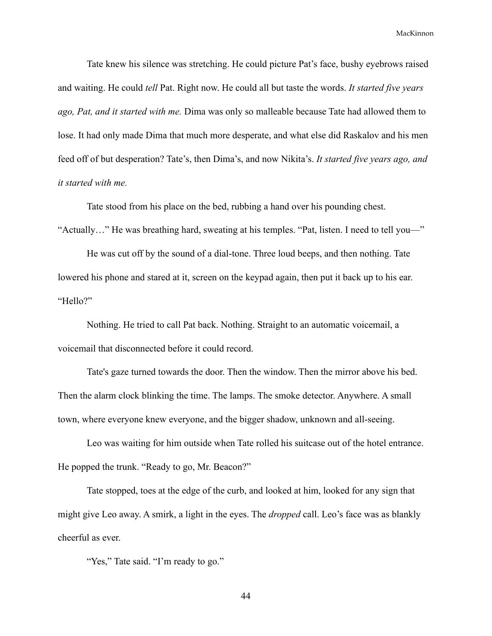Tate knew his silence was stretching. He could picture Pat's face, bushy eyebrows raised and waiting. He could *tell* Pat. Right now. He could all but taste the words. *It started five years ago, Pat, and it started with me.* Dima was only so malleable because Tate had allowed them to lose. It had only made Dima that much more desperate, and what else did Raskalov and his men feed off of but desperation? Tate's, then Dima's, and now Nikita's. *It started five years ago, and it started with me.*

Tate stood from his place on the bed, rubbing a hand over his pounding chest. "Actually…" He was breathing hard, sweating at his temples. "Pat, listen. I need to tell you—"

He was cut off by the sound of a dial-tone. Three loud beeps, and then nothing. Tate lowered his phone and stared at it, screen on the keypad again, then put it back up to his ear. "Hello?"

Nothing. He tried to call Pat back. Nothing. Straight to an automatic voicemail, a voicemail that disconnected before it could record.

Tate's gaze turned towards the door. Then the window. Then the mirror above his bed. Then the alarm clock blinking the time. The lamps. The smoke detector. Anywhere. A small town, where everyone knew everyone, and the bigger shadow, unknown and all-seeing.

Leo was waiting for him outside when Tate rolled his suitcase out of the hotel entrance. He popped the trunk. "Ready to go, Mr. Beacon?"

Tate stopped, toes at the edge of the curb, and looked at him, looked for any sign that might give Leo away. A smirk, a light in the eyes. The *dropped* call. Leo's face was as blankly cheerful as ever.

"Yes," Tate said. "I'm ready to go."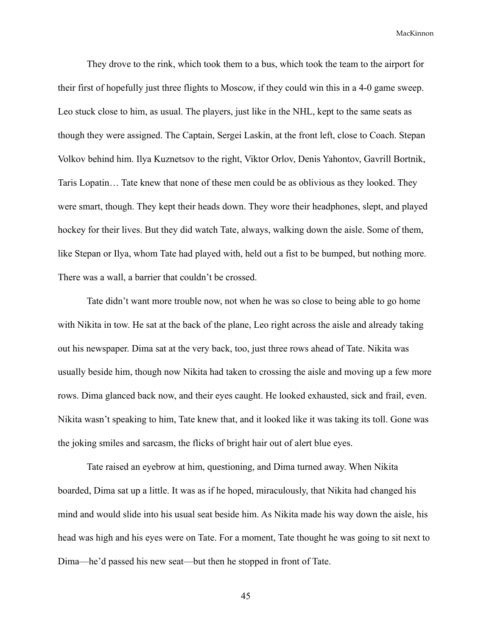They drove to the rink, which took them to a bus, which took the team to the airport for their first of hopefully just three flights to Moscow, if they could win this in a 4-0 game sweep. Leo stuck close to him, as usual. The players, just like in the NHL, kept to the same seats as though they were assigned. The Captain, Sergei Laskin, at the front left, close to Coach. Stepan Volkov behind him. Ilya Kuznetsov to the right, Viktor Orlov, Denis Yahontov, Gavrill Bortnik, Taris Lopatin… Tate knew that none of these men could be as oblivious as they looked. They were smart, though. They kept their heads down. They wore their headphones, slept, and played hockey for their lives. But they did watch Tate, always, walking down the aisle. Some of them, like Stepan or Ilya, whom Tate had played with, held out a fist to be bumped, but nothing more. There was a wall, a barrier that couldn't be crossed.

Tate didn't want more trouble now, not when he was so close to being able to go home with Nikita in tow. He sat at the back of the plane, Leo right across the aisle and already taking out his newspaper. Dima sat at the very back, too, just three rows ahead of Tate. Nikita was usually beside him, though now Nikita had taken to crossing the aisle and moving up a few more rows. Dima glanced back now, and their eyes caught. He looked exhausted, sick and frail, even. Nikita wasn't speaking to him, Tate knew that, and it looked like it was taking its toll. Gone was the joking smiles and sarcasm, the flicks of bright hair out of alert blue eyes.

Tate raised an eyebrow at him, questioning, and Dima turned away. When Nikita boarded, Dima sat up a little. It was as if he hoped, miraculously, that Nikita had changed his mind and would slide into his usual seat beside him. As Nikita made his way down the aisle, his head was high and his eyes were on Tate. For a moment, Tate thought he was going to sit next to Dima—he'd passed his new seat—but then he stopped in front of Tate.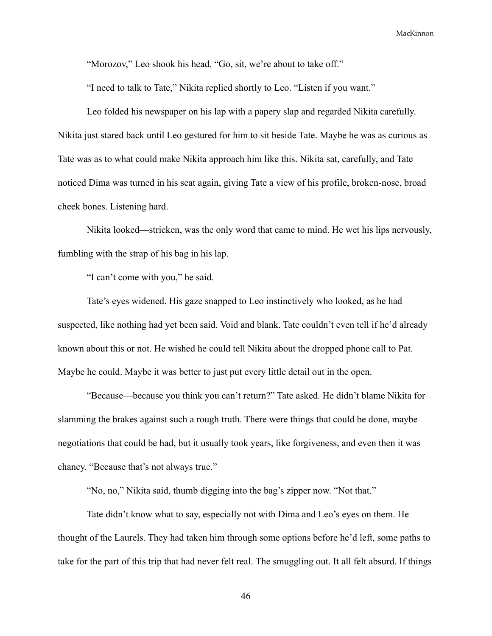"Morozov," Leo shook his head. "Go, sit, we're about to take off."

"I need to talk to Tate," Nikita replied shortly to Leo. "Listen if you want."

Leo folded his newspaper on his lap with a papery slap and regarded Nikita carefully. Nikita just stared back until Leo gestured for him to sit beside Tate. Maybe he was as curious as Tate was as to what could make Nikita approach him like this. Nikita sat, carefully, and Tate noticed Dima was turned in his seat again, giving Tate a view of his profile, broken-nose, broad cheek bones. Listening hard.

Nikita looked—stricken, was the only word that came to mind. He wet his lips nervously, fumbling with the strap of his bag in his lap.

"I can't come with you," he said.

Tate's eyes widened. His gaze snapped to Leo instinctively who looked, as he had suspected, like nothing had yet been said. Void and blank. Tate couldn't even tell if he'd already known about this or not. He wished he could tell Nikita about the dropped phone call to Pat. Maybe he could. Maybe it was better to just put every little detail out in the open.

"Because—because you think you can't return?" Tate asked. He didn't blame Nikita for slamming the brakes against such a rough truth. There were things that could be done, maybe negotiations that could be had, but it usually took years, like forgiveness, and even then it was chancy. "Because that's not always true."

"No, no," Nikita said, thumb digging into the bag's zipper now. "Not that."

Tate didn't know what to say, especially not with Dima and Leo's eyes on them. He thought of the Laurels. They had taken him through some options before he'd left, some paths to take for the part of this trip that had never felt real. The smuggling out. It all felt absurd. If things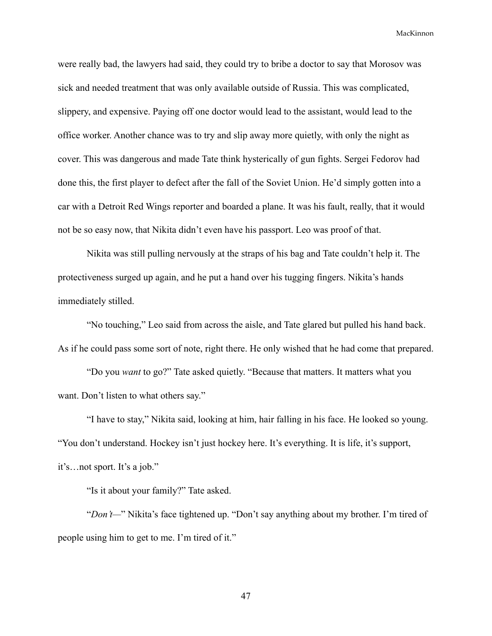were really bad, the lawyers had said, they could try to bribe a doctor to say that Morosov was sick and needed treatment that was only available outside of Russia. This was complicated, slippery, and expensive. Paying off one doctor would lead to the assistant, would lead to the office worker. Another chance was to try and slip away more quietly, with only the night as cover. This was dangerous and made Tate think hysterically of gun fights. Sergei Fedorov had done this, the first player to defect after the fall of the Soviet Union. He'd simply gotten into a car with a Detroit Red Wings reporter and boarded a plane. It was his fault, really, that it would not be so easy now, that Nikita didn't even have his passport. Leo was proof of that.

Nikita was still pulling nervously at the straps of his bag and Tate couldn't help it. The protectiveness surged up again, and he put a hand over his tugging fingers. Nikita's hands immediately stilled.

"No touching," Leo said from across the aisle, and Tate glared but pulled his hand back. As if he could pass some sort of note, right there. He only wished that he had come that prepared.

"Do you *want* to go?" Tate asked quietly. "Because that matters. It matters what you want. Don't listen to what others say."

"I have to stay," Nikita said, looking at him, hair falling in his face. He looked so young. "You don't understand. Hockey isn't just hockey here. It's everything. It is life, it's support, it's…not sport. It's a job."

"Is it about your family?" Tate asked.

"*Don't—*" Nikita's face tightened up. "Don't say anything about my brother. I'm tired of people using him to get to me. I'm tired of it."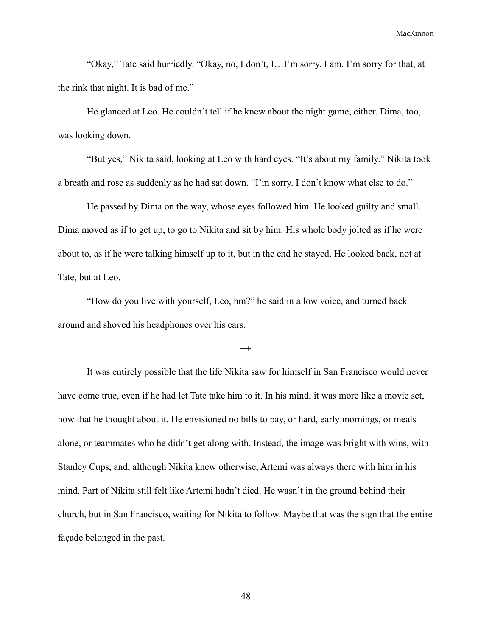"Okay," Tate said hurriedly. "Okay, no, I don't, I…I'm sorry. I am. I'm sorry for that, at the rink that night. It is bad of me."

He glanced at Leo. He couldn't tell if he knew about the night game, either. Dima, too, was looking down.

"But yes," Nikita said, looking at Leo with hard eyes. "It's about my family." Nikita took a breath and rose as suddenly as he had sat down. "I'm sorry. I don't know what else to do."

He passed by Dima on the way, whose eyes followed him. He looked guilty and small. Dima moved as if to get up, to go to Nikita and sit by him. His whole body jolted as if he were about to, as if he were talking himself up to it, but in the end he stayed. He looked back, not at Tate, but at Leo.

"How do you live with yourself, Leo, hm?" he said in a low voice, and turned back around and shoved his headphones over his ears.

 $^{++}$ 

It was entirely possible that the life Nikita saw for himself in San Francisco would never have come true, even if he had let Tate take him to it. In his mind, it was more like a movie set, now that he thought about it. He envisioned no bills to pay, or hard, early mornings, or meals alone, or teammates who he didn't get along with. Instead, the image was bright with wins, with Stanley Cups, and, although Nikita knew otherwise, Artemi was always there with him in his mind. Part of Nikita still felt like Artemi hadn't died. He wasn't in the ground behind their church, but in San Francisco, waiting for Nikita to follow. Maybe that was the sign that the entire façade belonged in the past.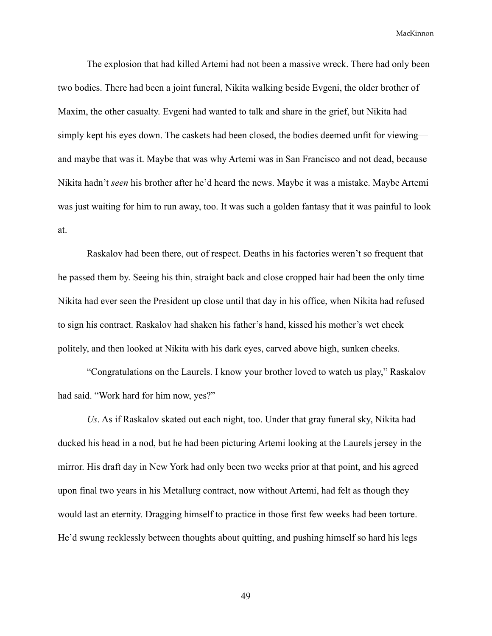The explosion that had killed Artemi had not been a massive wreck. There had only been two bodies. There had been a joint funeral, Nikita walking beside Evgeni, the older brother of Maxim, the other casualty. Evgeni had wanted to talk and share in the grief, but Nikita had simply kept his eyes down. The caskets had been closed, the bodies deemed unfit for viewing and maybe that was it. Maybe that was why Artemi was in San Francisco and not dead, because Nikita hadn't *seen* his brother after he'd heard the news. Maybe it was a mistake. Maybe Artemi was just waiting for him to run away, too. It was such a golden fantasy that it was painful to look at.

Raskalov had been there, out of respect. Deaths in his factories weren't so frequent that he passed them by. Seeing his thin, straight back and close cropped hair had been the only time Nikita had ever seen the President up close until that day in his office, when Nikita had refused to sign his contract. Raskalov had shaken his father's hand, kissed his mother's wet cheek politely, and then looked at Nikita with his dark eyes, carved above high, sunken cheeks.

"Congratulations on the Laurels. I know your brother loved to watch us play," Raskalov had said. "Work hard for him now, yes?"

*Us*. As if Raskalov skated out each night, too. Under that gray funeral sky, Nikita had ducked his head in a nod, but he had been picturing Artemi looking at the Laurels jersey in the mirror. His draft day in New York had only been two weeks prior at that point, and his agreed upon final two years in his Metallurg contract, now without Artemi, had felt as though they would last an eternity. Dragging himself to practice in those first few weeks had been torture. He'd swung recklessly between thoughts about quitting, and pushing himself so hard his legs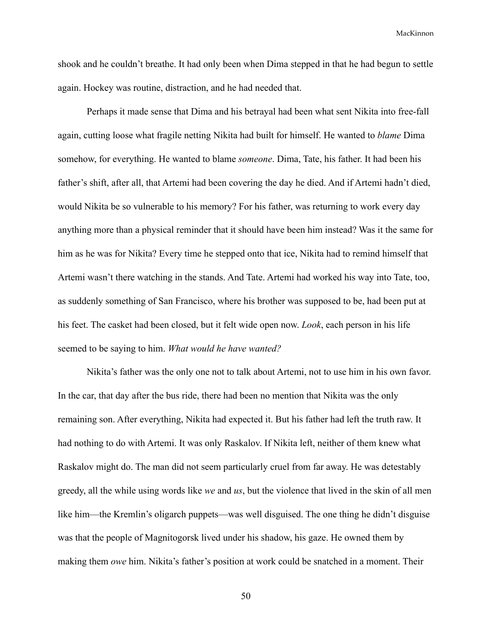shook and he couldn't breathe. It had only been when Dima stepped in that he had begun to settle again. Hockey was routine, distraction, and he had needed that.

Perhaps it made sense that Dima and his betrayal had been what sent Nikita into free-fall again, cutting loose what fragile netting Nikita had built for himself. He wanted to *blame* Dima somehow, for everything. He wanted to blame *someone*. Dima, Tate, his father. It had been his father's shift, after all, that Artemi had been covering the day he died. And if Artemi hadn't died, would Nikita be so vulnerable to his memory? For his father, was returning to work every day anything more than a physical reminder that it should have been him instead? Was it the same for him as he was for Nikita? Every time he stepped onto that ice, Nikita had to remind himself that Artemi wasn't there watching in the stands. And Tate. Artemi had worked his way into Tate, too, as suddenly something of San Francisco, where his brother was supposed to be, had been put at his feet. The casket had been closed, but it felt wide open now. *Look*, each person in his life seemed to be saying to him. *What would he have wanted?*

Nikita's father was the only one not to talk about Artemi, not to use him in his own favor. In the car, that day after the bus ride, there had been no mention that Nikita was the only remaining son. After everything, Nikita had expected it. But his father had left the truth raw. It had nothing to do with Artemi. It was only Raskalov. If Nikita left, neither of them knew what Raskalov might do. The man did not seem particularly cruel from far away. He was detestably greedy, all the while using words like *we* and *us*, but the violence that lived in the skin of all men like him—the Kremlin's oligarch puppets—was well disguised. The one thing he didn't disguise was that the people of Magnitogorsk lived under his shadow, his gaze. He owned them by making them *owe* him. Nikita's father's position at work could be snatched in a moment. Their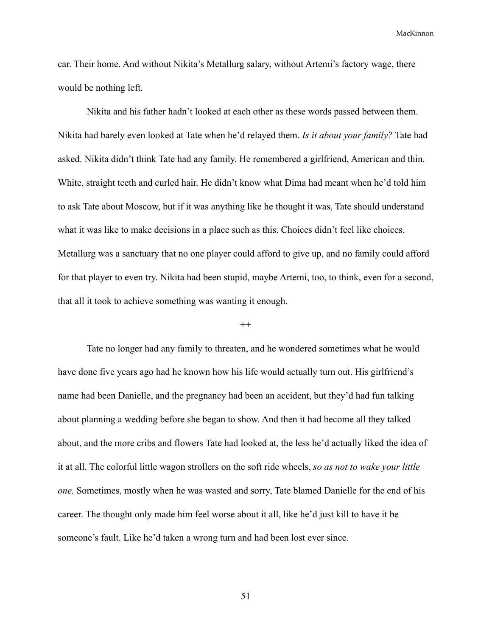car. Their home. And without Nikita's Metallurg salary, without Artemi's factory wage, there would be nothing left.

Nikita and his father hadn't looked at each other as these words passed between them. Nikita had barely even looked at Tate when he'd relayed them. *Is it about your family?* Tate had asked. Nikita didn't think Tate had any family. He remembered a girlfriend, American and thin. White, straight teeth and curled hair. He didn't know what Dima had meant when he'd told him to ask Tate about Moscow, but if it was anything like he thought it was, Tate should understand what it was like to make decisions in a place such as this. Choices didn't feel like choices. Metallurg was a sanctuary that no one player could afford to give up, and no family could afford for that player to even try. Nikita had been stupid, maybe Artemi, too, to think, even for a second, that all it took to achieve something was wanting it enough.

#### $^{++}$

Tate no longer had any family to threaten, and he wondered sometimes what he would have done five years ago had he known how his life would actually turn out. His girlfriend's name had been Danielle, and the pregnancy had been an accident, but they'd had fun talking about planning a wedding before she began to show. And then it had become all they talked about, and the more cribs and flowers Tate had looked at, the less he'd actually liked the idea of it at all. The colorful little wagon strollers on the soft ride wheels, *so as not to wake your little one.* Sometimes, mostly when he was wasted and sorry, Tate blamed Danielle for the end of his career. The thought only made him feel worse about it all, like he'd just kill to have it be someone's fault. Like he'd taken a wrong turn and had been lost ever since.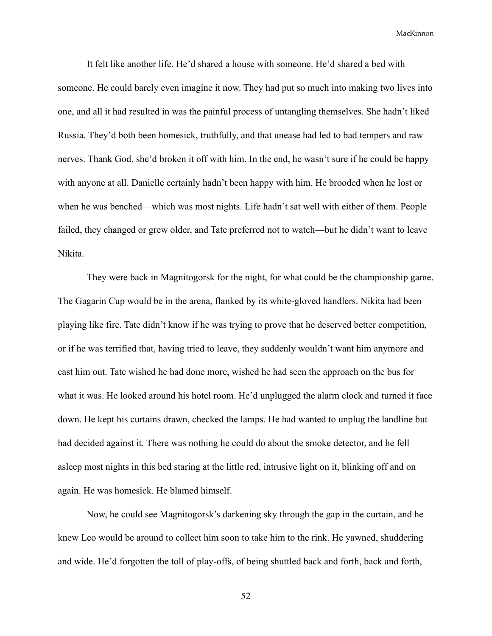It felt like another life. He'd shared a house with someone. He'd shared a bed with someone. He could barely even imagine it now. They had put so much into making two lives into one, and all it had resulted in was the painful process of untangling themselves. She hadn't liked Russia. They'd both been homesick, truthfully, and that unease had led to bad tempers and raw nerves. Thank God, she'd broken it off with him. In the end, he wasn't sure if he could be happy with anyone at all. Danielle certainly hadn't been happy with him. He brooded when he lost or when he was benched—which was most nights. Life hadn't sat well with either of them. People failed, they changed or grew older, and Tate preferred not to watch—but he didn't want to leave Nikita.

They were back in Magnitogorsk for the night, for what could be the championship game. The Gagarin Cup would be in the arena, flanked by its white-gloved handlers. Nikita had been playing like fire. Tate didn't know if he was trying to prove that he deserved better competition, or if he was terrified that, having tried to leave, they suddenly wouldn't want him anymore and cast him out. Tate wished he had done more, wished he had seen the approach on the bus for what it was. He looked around his hotel room. He'd unplugged the alarm clock and turned it face down. He kept his curtains drawn, checked the lamps. He had wanted to unplug the landline but had decided against it. There was nothing he could do about the smoke detector, and he fell asleep most nights in this bed staring at the little red, intrusive light on it, blinking off and on again. He was homesick. He blamed himself.

Now, he could see Magnitogorsk's darkening sky through the gap in the curtain, and he knew Leo would be around to collect him soon to take him to the rink. He yawned, shuddering and wide. He'd forgotten the toll of play-offs, of being shuttled back and forth, back and forth,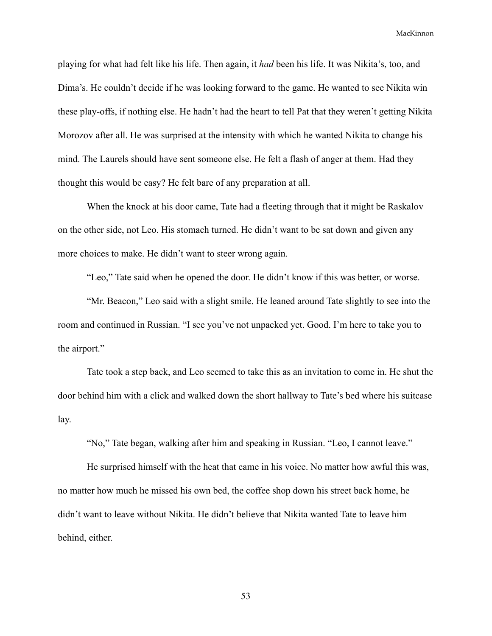playing for what had felt like his life. Then again, it *had* been his life. It was Nikita's, too, and Dima's. He couldn't decide if he was looking forward to the game. He wanted to see Nikita win these play-offs, if nothing else. He hadn't had the heart to tell Pat that they weren't getting Nikita Morozov after all. He was surprised at the intensity with which he wanted Nikita to change his mind. The Laurels should have sent someone else. He felt a flash of anger at them. Had they thought this would be easy? He felt bare of any preparation at all.

When the knock at his door came, Tate had a fleeting through that it might be Raskalov on the other side, not Leo. His stomach turned. He didn't want to be sat down and given any more choices to make. He didn't want to steer wrong again.

"Leo," Tate said when he opened the door. He didn't know if this was better, or worse.

"Mr. Beacon," Leo said with a slight smile. He leaned around Tate slightly to see into the room and continued in Russian. "I see you've not unpacked yet. Good. I'm here to take you to the airport."

Tate took a step back, and Leo seemed to take this as an invitation to come in. He shut the door behind him with a click and walked down the short hallway to Tate's bed where his suitcase lay.

"No," Tate began, walking after him and speaking in Russian. "Leo, I cannot leave."

He surprised himself with the heat that came in his voice. No matter how awful this was, no matter how much he missed his own bed, the coffee shop down his street back home, he didn't want to leave without Nikita. He didn't believe that Nikita wanted Tate to leave him behind, either.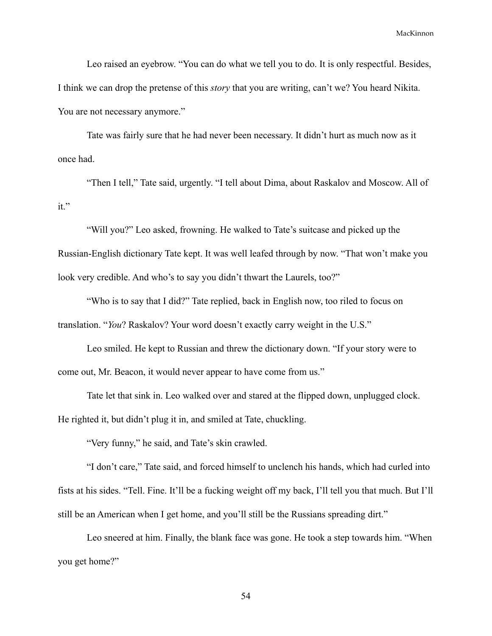Leo raised an eyebrow. "You can do what we tell you to do. It is only respectful. Besides, I think we can drop the pretense of this *story* that you are writing, can't we? You heard Nikita. You are not necessary anymore."

Tate was fairly sure that he had never been necessary. It didn't hurt as much now as it once had.

"Then I tell," Tate said, urgently. "I tell about Dima, about Raskalov and Moscow. All of it."

"Will you?" Leo asked, frowning. He walked to Tate's suitcase and picked up the Russian-English dictionary Tate kept. It was well leafed through by now. "That won't make you look very credible. And who's to say you didn't thwart the Laurels, too?"

"Who is to say that I did?" Tate replied, back in English now, too riled to focus on translation. "*You*? Raskalov? Your word doesn't exactly carry weight in the U.S."

Leo smiled. He kept to Russian and threw the dictionary down. "If your story were to come out, Mr. Beacon, it would never appear to have come from us."

Tate let that sink in. Leo walked over and stared at the flipped down, unplugged clock. He righted it, but didn't plug it in, and smiled at Tate, chuckling.

"Very funny," he said, and Tate's skin crawled.

"I don't care," Tate said, and forced himself to unclench his hands, which had curled into fists at his sides. "Tell. Fine. It'll be a fucking weight off my back, I'll tell you that much. But I'll still be an American when I get home, and you'll still be the Russians spreading dirt."

Leo sneered at him. Finally, the blank face was gone. He took a step towards him. "When you get home?"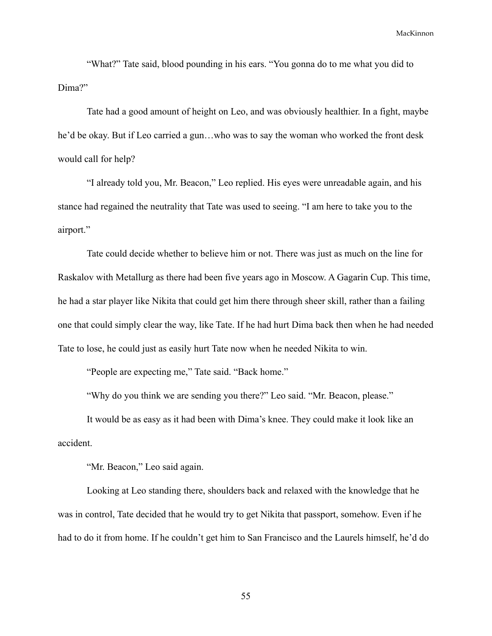"What?" Tate said, blood pounding in his ears. "You gonna do to me what you did to Dima?"

Tate had a good amount of height on Leo, and was obviously healthier. In a fight, maybe he'd be okay. But if Leo carried a gun…who was to say the woman who worked the front desk would call for help?

"I already told you, Mr. Beacon," Leo replied. His eyes were unreadable again, and his stance had regained the neutrality that Tate was used to seeing. "I am here to take you to the airport."

Tate could decide whether to believe him or not. There was just as much on the line for Raskalov with Metallurg as there had been five years ago in Moscow. A Gagarin Cup. This time, he had a star player like Nikita that could get him there through sheer skill, rather than a failing one that could simply clear the way, like Tate. If he had hurt Dima back then when he had needed Tate to lose, he could just as easily hurt Tate now when he needed Nikita to win.

"People are expecting me," Tate said. "Back home."

"Why do you think we are sending you there?" Leo said. "Mr. Beacon, please."

It would be as easy as it had been with Dima's knee. They could make it look like an accident.

"Mr. Beacon," Leo said again.

Looking at Leo standing there, shoulders back and relaxed with the knowledge that he was in control, Tate decided that he would try to get Nikita that passport, somehow. Even if he had to do it from home. If he couldn't get him to San Francisco and the Laurels himself, he'd do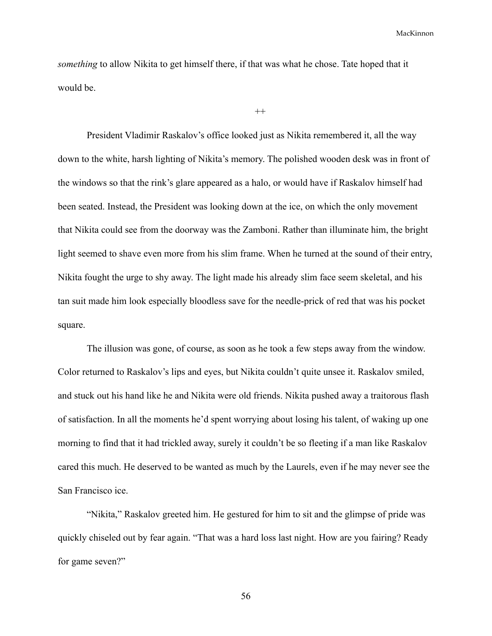*something* to allow Nikita to get himself there, if that was what he chose. Tate hoped that it would be.

```
^{++}
```
President Vladimir Raskalov's office looked just as Nikita remembered it, all the way down to the white, harsh lighting of Nikita's memory. The polished wooden desk was in front of the windows so that the rink's glare appeared as a halo, or would have if Raskalov himself had been seated. Instead, the President was looking down at the ice, on which the only movement that Nikita could see from the doorway was the Zamboni. Rather than illuminate him, the bright light seemed to shave even more from his slim frame. When he turned at the sound of their entry, Nikita fought the urge to shy away. The light made his already slim face seem skeletal, and his tan suit made him look especially bloodless save for the needle-prick of red that was his pocket square.

The illusion was gone, of course, as soon as he took a few steps away from the window. Color returned to Raskalov's lips and eyes, but Nikita couldn't quite unsee it. Raskalov smiled, and stuck out his hand like he and Nikita were old friends. Nikita pushed away a traitorous flash of satisfaction. In all the moments he'd spent worrying about losing his talent, of waking up one morning to find that it had trickled away, surely it couldn't be so fleeting if a man like Raskalov cared this much. He deserved to be wanted as much by the Laurels, even if he may never see the San Francisco ice.

"Nikita," Raskalov greeted him. He gestured for him to sit and the glimpse of pride was quickly chiseled out by fear again. "That was a hard loss last night. How are you fairing? Ready for game seven?"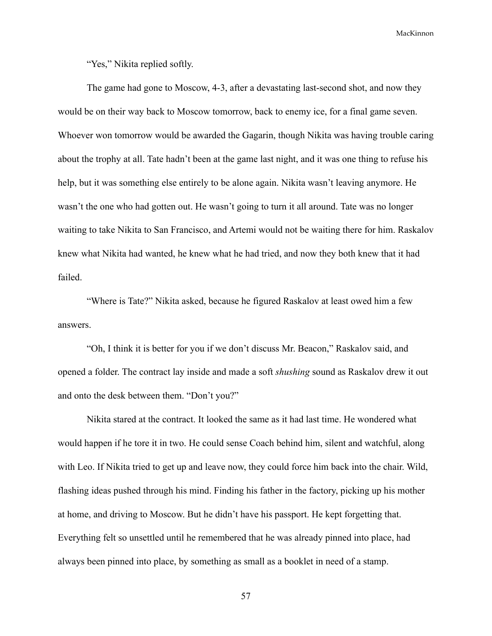"Yes," Nikita replied softly.

The game had gone to Moscow, 4-3, after a devastating last-second shot, and now they would be on their way back to Moscow tomorrow, back to enemy ice, for a final game seven. Whoever won tomorrow would be awarded the Gagarin, though Nikita was having trouble caring about the trophy at all. Tate hadn't been at the game last night, and it was one thing to refuse his help, but it was something else entirely to be alone again. Nikita wasn't leaving anymore. He wasn't the one who had gotten out. He wasn't going to turn it all around. Tate was no longer waiting to take Nikita to San Francisco, and Artemi would not be waiting there for him. Raskalov knew what Nikita had wanted, he knew what he had tried, and now they both knew that it had failed.

"Where is Tate?" Nikita asked, because he figured Raskalov at least owed him a few answers.

"Oh, I think it is better for you if we don't discuss Mr. Beacon," Raskalov said, and opened a folder. The contract lay inside and made a soft *shushing* sound as Raskalov drew it out and onto the desk between them. "Don't you?"

Nikita stared at the contract. It looked the same as it had last time. He wondered what would happen if he tore it in two. He could sense Coach behind him, silent and watchful, along with Leo. If Nikita tried to get up and leave now, they could force him back into the chair. Wild, flashing ideas pushed through his mind. Finding his father in the factory, picking up his mother at home, and driving to Moscow. But he didn't have his passport. He kept forgetting that. Everything felt so unsettled until he remembered that he was already pinned into place, had always been pinned into place, by something as small as a booklet in need of a stamp.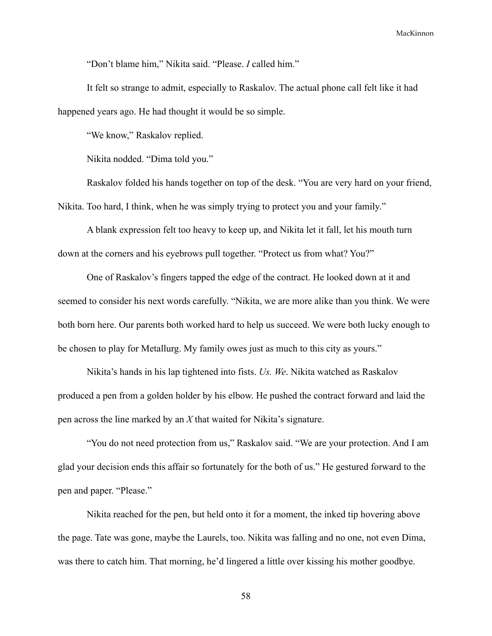"Don't blame him," Nikita said. "Please. *I* called him."

It felt so strange to admit, especially to Raskalov. The actual phone call felt like it had happened years ago. He had thought it would be so simple.

"We know," Raskalov replied.

Nikita nodded. "Dima told you."

Raskalov folded his hands together on top of the desk. "You are very hard on your friend, Nikita. Too hard, I think, when he was simply trying to protect you and your family."

A blank expression felt too heavy to keep up, and Nikita let it fall, let his mouth turn down at the corners and his eyebrows pull together. "Protect us from what? You?"

One of Raskalov's fingers tapped the edge of the contract. He looked down at it and seemed to consider his next words carefully. "Nikita, we are more alike than you think. We were both born here. Our parents both worked hard to help us succeed. We were both lucky enough to be chosen to play for Metallurg. My family owes just as much to this city as yours."

Nikita's hands in his lap tightened into fists. *Us. We*. Nikita watched as Raskalov produced a pen from a golden holder by his elbow. He pushed the contract forward and laid the pen across the line marked by an *X* that waited for Nikita's signature.

"You do not need protection from us," Raskalov said. "We are your protection. And I am glad your decision ends this affair so fortunately for the both of us." He gestured forward to the pen and paper. "Please."

Nikita reached for the pen, but held onto it for a moment, the inked tip hovering above the page. Tate was gone, maybe the Laurels, too. Nikita was falling and no one, not even Dima, was there to catch him. That morning, he'd lingered a little over kissing his mother goodbye.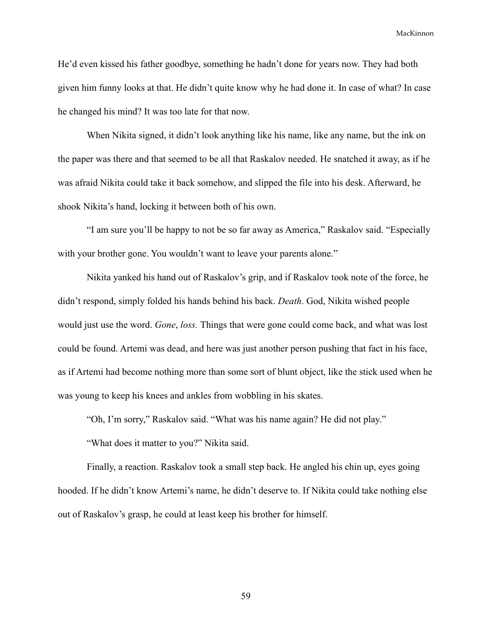He'd even kissed his father goodbye, something he hadn't done for years now. They had both given him funny looks at that. He didn't quite know why he had done it. In case of what? In case he changed his mind? It was too late for that now.

When Nikita signed, it didn't look anything like his name, like any name, but the ink on the paper was there and that seemed to be all that Raskalov needed. He snatched it away, as if he was afraid Nikita could take it back somehow, and slipped the file into his desk. Afterward, he shook Nikita's hand, locking it between both of his own.

"I am sure you'll be happy to not be so far away as America," Raskalov said. "Especially with your brother gone. You wouldn't want to leave your parents alone."

Nikita yanked his hand out of Raskalov's grip, and if Raskalov took note of the force, he didn't respond, simply folded his hands behind his back. *Death*. God, Nikita wished people would just use the word. *Gone*, *loss.* Things that were gone could come back, and what was lost could be found. Artemi was dead, and here was just another person pushing that fact in his face, as if Artemi had become nothing more than some sort of blunt object, like the stick used when he was young to keep his knees and ankles from wobbling in his skates.

"Oh, I'm sorry," Raskalov said. "What was his name again? He did not play."

"What does it matter to you?" Nikita said.

Finally, a reaction. Raskalov took a small step back. He angled his chin up, eyes going hooded. If he didn't know Artemi's name, he didn't deserve to. If Nikita could take nothing else out of Raskalov's grasp, he could at least keep his brother for himself.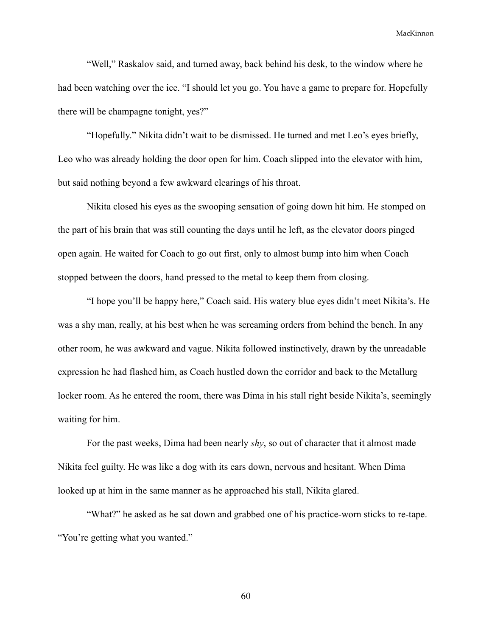"Well," Raskalov said, and turned away, back behind his desk, to the window where he had been watching over the ice. "I should let you go. You have a game to prepare for. Hopefully there will be champagne tonight, yes?"

"Hopefully." Nikita didn't wait to be dismissed. He turned and met Leo's eyes briefly, Leo who was already holding the door open for him. Coach slipped into the elevator with him, but said nothing beyond a few awkward clearings of his throat.

Nikita closed his eyes as the swooping sensation of going down hit him. He stomped on the part of his brain that was still counting the days until he left, as the elevator doors pinged open again. He waited for Coach to go out first, only to almost bump into him when Coach stopped between the doors, hand pressed to the metal to keep them from closing.

"I hope you'll be happy here," Coach said. His watery blue eyes didn't meet Nikita's. He was a shy man, really, at his best when he was screaming orders from behind the bench. In any other room, he was awkward and vague. Nikita followed instinctively, drawn by the unreadable expression he had flashed him, as Coach hustled down the corridor and back to the Metallurg locker room. As he entered the room, there was Dima in his stall right beside Nikita's, seemingly waiting for him.

For the past weeks, Dima had been nearly *shy*, so out of character that it almost made Nikita feel guilty. He was like a dog with its ears down, nervous and hesitant. When Dima looked up at him in the same manner as he approached his stall, Nikita glared.

"What?" he asked as he sat down and grabbed one of his practice-worn sticks to re-tape. "You're getting what you wanted."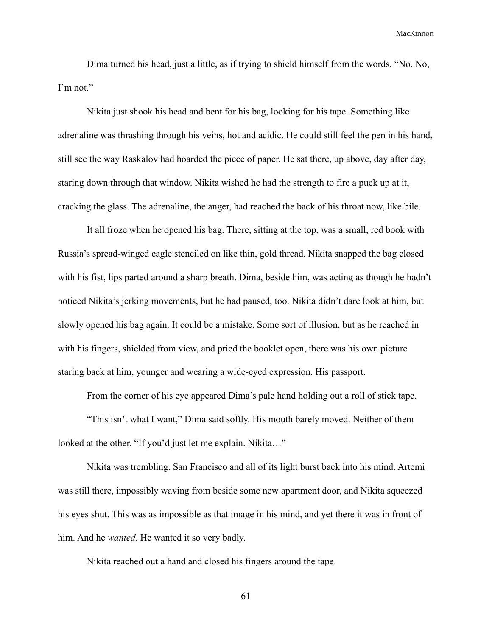Dima turned his head, just a little, as if trying to shield himself from the words. "No. No, I'm not."

Nikita just shook his head and bent for his bag, looking for his tape. Something like adrenaline was thrashing through his veins, hot and acidic. He could still feel the pen in his hand, still see the way Raskalov had hoarded the piece of paper. He sat there, up above, day after day, staring down through that window. Nikita wished he had the strength to fire a puck up at it, cracking the glass. The adrenaline, the anger, had reached the back of his throat now, like bile.

It all froze when he opened his bag. There, sitting at the top, was a small, red book with Russia's spread-winged eagle stenciled on like thin, gold thread. Nikita snapped the bag closed with his fist, lips parted around a sharp breath. Dima, beside him, was acting as though he hadn't noticed Nikita's jerking movements, but he had paused, too. Nikita didn't dare look at him, but slowly opened his bag again. It could be a mistake. Some sort of illusion, but as he reached in with his fingers, shielded from view, and pried the booklet open, there was his own picture staring back at him, younger and wearing a wide-eyed expression. His passport.

From the corner of his eye appeared Dima's pale hand holding out a roll of stick tape.

"This isn't what I want," Dima said softly. His mouth barely moved. Neither of them looked at the other. "If you'd just let me explain. Nikita…"

Nikita was trembling. San Francisco and all of its light burst back into his mind. Artemi was still there, impossibly waving from beside some new apartment door, and Nikita squeezed his eyes shut. This was as impossible as that image in his mind, and yet there it was in front of him. And he *wanted*. He wanted it so very badly.

Nikita reached out a hand and closed his fingers around the tape.